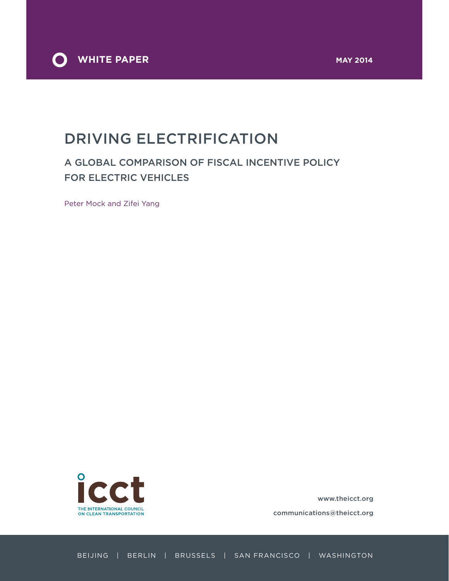

# DRIVING ELECTRIFICATION

## A GLOBAL COMPARISON OF FISCAL INCENTIVE POLICY FOR ELECTRIC VEHICLES

Peter Mock and Zifei Yang



www.theicct.org

communications@theicct.org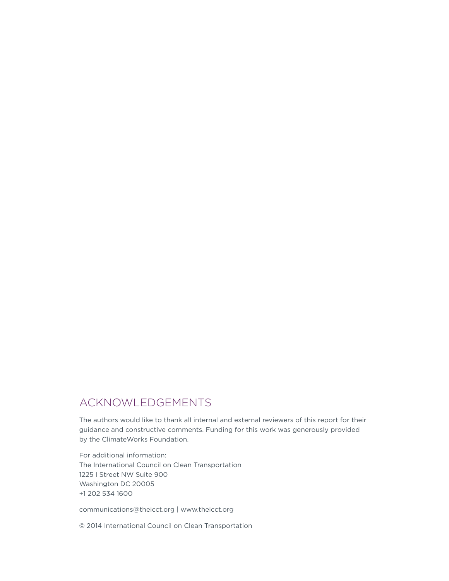# ACKNOWLEDGEMENTS

The authors would like to thank all internal and external reviewers of this report for their guidance and constructive comments. Funding for this work was generously provided by the ClimateWorks Foundation.

For additional information: The International Council on Clean Transportation 1225 I Street NW Suite 900 Washington DC 20005 +1 202 534 1600

communications@theicct.org | www.theicct.org

© 2014 International Council on Clean Transportation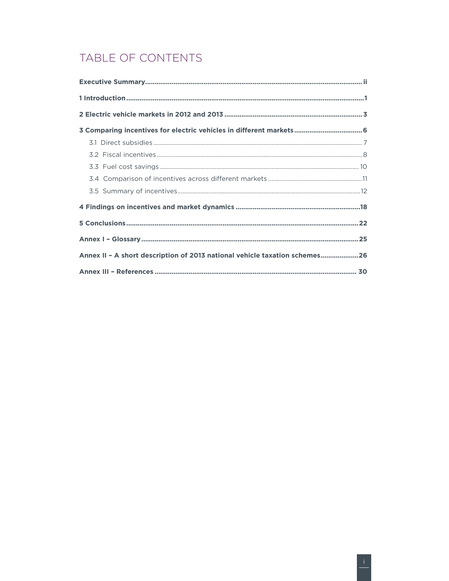# TABLE OF CONTENTS

| 3 Comparing incentives for electric vehicles in different markets 6        |  |
|----------------------------------------------------------------------------|--|
|                                                                            |  |
|                                                                            |  |
|                                                                            |  |
|                                                                            |  |
|                                                                            |  |
|                                                                            |  |
|                                                                            |  |
|                                                                            |  |
| Annex II - A short description of 2013 national vehicle taxation schemes26 |  |
|                                                                            |  |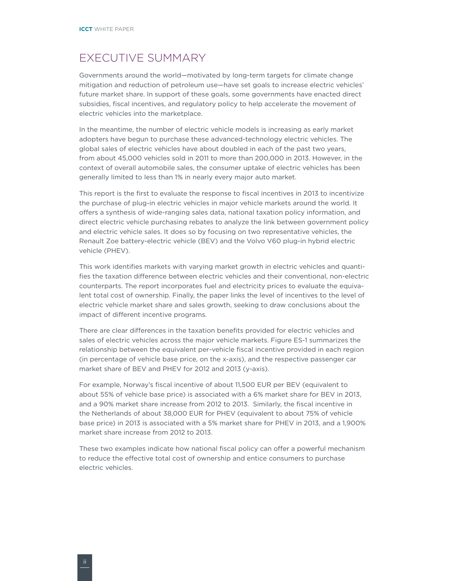### <span id="page-3-0"></span>EXECUTIVE SUMMARY

Governments around the world—motivated by long-term targets for climate change mitigation and reduction of petroleum use—have set goals to increase electric vehicles' future market share. In support of these goals, some governments have enacted direct subsidies, fiscal incentives, and regulatory policy to help accelerate the movement of electric vehicles into the marketplace.

In the meantime, the number of electric vehicle models is increasing as early market adopters have begun to purchase these advanced-technology electric vehicles. The global sales of electric vehicles have about doubled in each of the past two years, from about 45,000 vehicles sold in 2011 to more than 200,000 in 2013. However, in the context of overall automobile sales, the consumer uptake of electric vehicles has been generally limited to less than 1% in nearly every major auto market.

This report is the first to evaluate the response to fiscal incentives in 2013 to incentivize the purchase of plug-in electric vehicles in major vehicle markets around the world. It offers a synthesis of wide-ranging sales data, national taxation policy information, and direct electric vehicle purchasing rebates to analyze the link between government policy and electric vehicle sales. It does so by focusing on two representative vehicles, the Renault Zoe battery-electric vehicle (BEV) and the Volvo V60 plug-in hybrid electric vehicle (PHEV).

This work identifies markets with varying market growth in electric vehicles and quantifies the taxation difference between electric vehicles and their conventional, non-electric counterparts. The report incorporates fuel and electricity prices to evaluate the equivalent total cost of ownership. Finally, the paper links the level of incentives to the level of electric vehicle market share and sales growth, seeking to draw conclusions about the impact of different incentive programs.

There are clear differences in the taxation benefits provided for electric vehicles and sales of electric vehicles across the major vehicle markets. Figure ES-1 summarizes the relationship between the equivalent per-vehicle fiscal incentive provided in each region (in percentage of vehicle base price, on the x-axis), and the respective passenger car market share of BEV and PHEV for 2012 and 2013 (y-axis).

For example, Norway's fiscal incentive of about 11,500 EUR per BEV (equivalent to about 55% of vehicle base price) is associated with a 6% market share for BEV in 2013, and a 90% market share increase from 2012 to 2013. Similarly, the fiscal incentive in the Netherlands of about 38,000 EUR for PHEV (equivalent to about 75% of vehicle base price) in 2013 is associated with a 5% market share for PHEV in 2013, and a 1,900% market share increase from 2012 to 2013.

These two examples indicate how national fiscal policy can offer a powerful mechanism to reduce the effective total cost of ownership and entice consumers to purchase electric vehicles.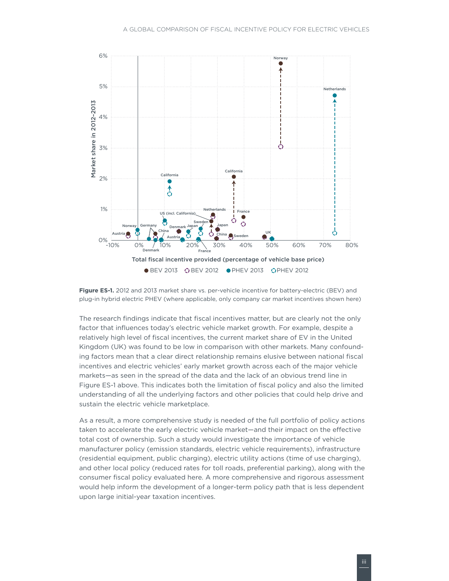



The research findings indicate that fiscal incentives matter, but are clearly not the only factor that influences today's electric vehicle market growth. For example, despite a relatively high level of fiscal incentives, the current market share of EV in the United Kingdom (UK) was found to be low in comparison with other markets. Many confounding factors mean that a clear direct relationship remains elusive between national fiscal incentives and electric vehicles' early market growth across each of the major vehicle markets—as seen in the spread of the data and the lack of an obvious trend line in Figure ES-1 above. This indicates both the limitation of fiscal policy and also the limited understanding of all the underlying factors and other policies that could help drive and sustain the electric vehicle marketplace.

As a result, a more comprehensive study is needed of the full portfolio of policy actions taken to accelerate the early electric vehicle market—and their impact on the effective total cost of ownership. Such a study would investigate the importance of vehicle manufacturer policy (emission standards, electric vehicle requirements), infrastructure (residential equipment, public charging), electric utility actions (time of use charging), and other local policy (reduced rates for toll roads, preferential parking), along with the consumer fiscal policy evaluated here. A more comprehensive and rigorous assessment would help inform the development of a longer-term policy path that is less dependent upon large initial-year taxation incentives.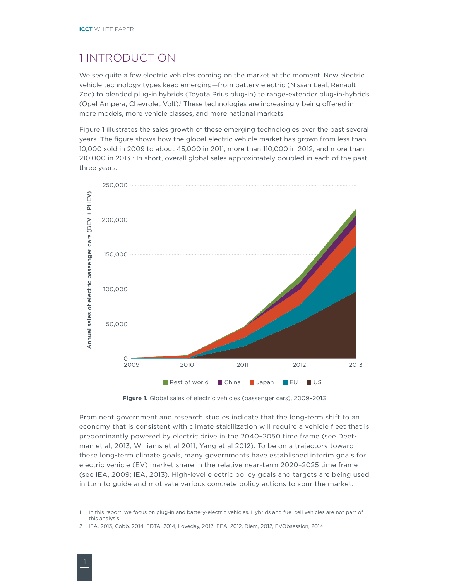### <span id="page-5-0"></span>1 INTRODUCTION

We see quite a few electric vehicles coming on the market at the moment. New electric vehicle technology types keep emerging—from battery electric (Nissan Leaf, Renault Zoe) to blended plug-in hybrids (Toyota Prius plug-in) to range-extender plug-in-hybrids (Opel Ampera, Chevrolet Volt).<sup>1</sup> These technologies are increasingly being offered in more models, more vehicle classes, and more national markets.

Figure 1 illustrates the sales growth of these emerging technologies over the past several years. The figure shows how the global electric vehicle market has grown from less than 10,000 sold in 2009 to about 45,000 in 2011, more than 110,000 in 2012, and more than 210,000 in 2013.<sup>2</sup> In short, overall global sales approximately doubled in each of the past three years.



**Figure 1.** Global sales of electric vehicles (passenger cars), 2009–2013

Prominent government and research studies indicate that the long-term shift to an economy that is consistent with climate stabilization will require a vehicle fleet that is predominantly powered by electric drive in the 2040–2050 time frame (see Deetman et al, 2013; Williams et al 2011; Yang et al 2012). To be on a trajectory toward these long-term climate goals, many governments have established interim goals for electric vehicle (EV) market share in the relative near-term 2020–2025 time frame (see IEA, 2009; IEA, 2013). High-level electric policy goals and targets are being used in turn to guide and motivate various concrete policy actions to spur the market.

<sup>1</sup> In this report, we focus on plug-in and battery-electric vehicles. Hybrids and fuel cell vehicles are not part of this analysis.

<sup>2</sup> IEA, 2013, Cobb, 2014, EDTA, 2014, Loveday, 2013, EEA, 2012, Diem, 2012, EVObsession, 2014.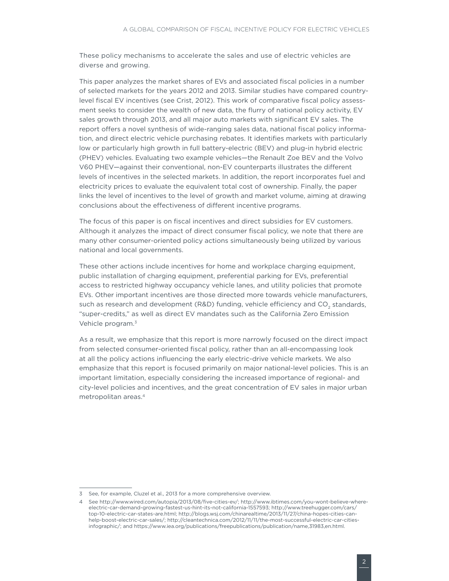These policy mechanisms to accelerate the sales and use of electric vehicles are diverse and growing.

This paper analyzes the market shares of EVs and associated fiscal policies in a number of selected markets for the years 2012 and 2013. Similar studies have compared countrylevel fiscal EV incentives (see Crist, 2012). This work of comparative fiscal policy assessment seeks to consider the wealth of new data, the flurry of national policy activity, EV sales growth through 2013, and all major auto markets with significant EV sales. The report offers a novel synthesis of wide-ranging sales data, national fiscal policy information, and direct electric vehicle purchasing rebates. It identifies markets with particularly low or particularly high growth in full battery-electric (BEV) and plug-in hybrid electric (PHEV) vehicles. Evaluating two example vehicles—the Renault Zoe BEV and the Volvo V60 PHEV—against their conventional, non-EV counterparts illustrates the different levels of incentives in the selected markets. In addition, the report incorporates fuel and electricity prices to evaluate the equivalent total cost of ownership. Finally, the paper links the level of incentives to the level of growth and market volume, aiming at drawing conclusions about the effectiveness of different incentive programs.

The focus of this paper is on fiscal incentives and direct subsidies for EV customers. Although it analyzes the impact of direct consumer fiscal policy, we note that there are many other consumer-oriented policy actions simultaneously being utilized by various national and local governments.

These other actions include incentives for home and workplace charging equipment, public installation of charging equipment, preferential parking for EVs, preferential access to restricted highway occupancy vehicle lanes, and utility policies that promote EVs. Other important incentives are those directed more towards vehicle manufacturers, such as research and development (R&D) funding, vehicle efficiency and CO<sub>2</sub> standards, "super-credits," as well as direct EV mandates such as the California Zero Emission Vehicle program.<sup>3</sup>

As a result, we emphasize that this report is more narrowly focused on the direct impact from selected consumer-oriented fiscal policy, rather than an all-encompassing look at all the policy actions influencing the early electric-drive vehicle markets. We also emphasize that this report is focused primarily on major national-level policies. This is an important limitation, especially considering the increased importance of regional- and city-level policies and incentives, and the great concentration of EV sales in major urban metropolitan areas.4

<sup>3</sup> See, for example, Cluzel et al., 2013 for a more comprehensive overview.

<sup>4</sup> See http://www.wired.com/autopia/2013/08/five-cities-ev/; http://www.ibtimes.com/you-wont-believe-whereelectric-car-demand-growing-fastest-us-hint-its-not-california-1557593; http://www.treehugger.com/cars/ top-10-electric-car-states-are.html; http://blogs.wsj.com/chinarealtime/2013/11/27/china-hopes-cities-canhelp-boost-electric-car-sales/; [http://cleantechnica.com/2012/11/11/the-most-successful-electric-car-cities](http://cleantechnica.com/2012/11/11/the-most-successful-electric-car-cities-infographic/)[infographic/;](http://cleantechnica.com/2012/11/11/the-most-successful-electric-car-cities-infographic/) and https://www.iea.org/publications/freepublications/publication/name,31983,en.html.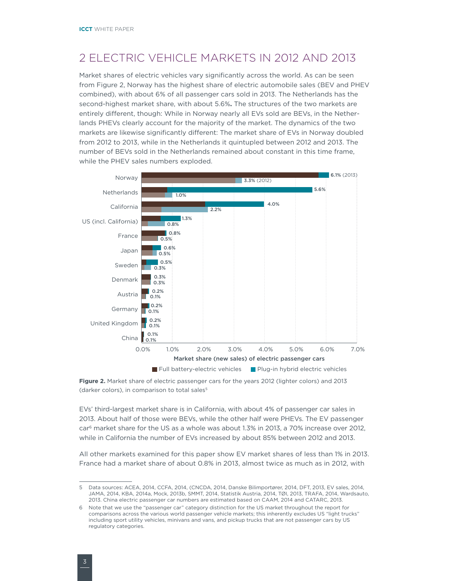# <span id="page-7-0"></span>2 ELECTRIC VEHICLE MARKETS IN 2012 AND 2013

Market shares of electric vehicles vary significantly across the world. As can be seen from Figure 2, Norway has the highest share of electric automobile sales (BEV and PHEV combined), with about 6% of all passenger cars sold in 2013. The Netherlands has the second-highest market share, with about 5.6%**.** The structures of the two markets are entirely different, though: While in Norway nearly all EVs sold are BEVs, in the Netherlands PHEVs clearly account for the majority of the market. The dynamics of the two markets are likewise significantly different: The market share of EVs in Norway doubled from 2012 to 2013, while in the Netherlands it quintupled between 2012 and 2013. The number of BEVs sold in the Netherlands remained about constant in this time frame, while the PHEV sales numbers exploded.



**Figure 2.** Market share of electric passenger cars for the years 2012 (lighter colors) and 2013 (darker colors), in comparison to total sales<sup>5</sup>

EVs' third-largest market share is in California, with about 4% of passenger car sales in 2013. About half of those were BEVs, while the other half were PHEVs. The EV passenger car<sup>6</sup> market share for the US as a whole was about 1.3% in 2013, a 70% increase over 2012, while in California the number of EVs increased by about 85% between 2012 and 2013.

All other markets examined for this paper show EV market shares of less than 1% in 2013. France had a market share of about 0.8% in 2013, almost twice as much as in 2012, with

<sup>5</sup> Data sources: ACEA, 2014, CCFA, 2014, (CNCDA, 2014, Danske Bilimportører, 2014, DFT, 2013, EV sales, 2014, JAMA, 2014, KBA, 2014a, Mock, 2013b, SMMT, 2014, Statistik Austria, 2014, TØI, 2013, TRAFA, 2014, Wardsauto, 2013. China electric passenger car numbers are estimated based on CAAM, 2014 and CATARC, 2013.

<sup>6</sup> Note that we use the "passenger car" category distinction for the US market throughout the report for comparisons across the various world passenger vehicle markets; this inherently excludes US "light trucks" including sport utility vehicles, minivans and vans, and pickup trucks that are not passenger cars by US regulatory categories.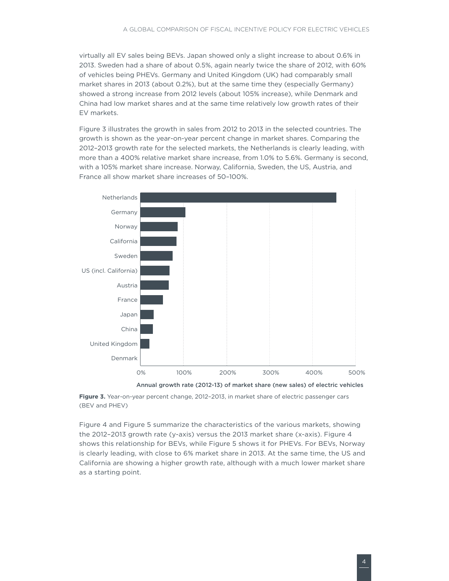virtually all EV sales being BEVs. Japan showed only a slight increase to about 0.6% in 2013. Sweden had a share of about 0.5%, again nearly twice the share of 2012, with 60% of vehicles being PHEVs. Germany and United Kingdom (UK) had comparably small market shares in 2013 (about 0.2%), but at the same time they (especially Germany) showed a strong increase from 2012 levels (about 105% increase), while Denmark and China had low market shares and at the same time relatively low growth rates of their EV markets.

[Figure 3](#page-8-0) illustrates the growth in sales from 2012 to 2013 in the selected countries. The growth is shown as the year-on-year percent change in market shares. Comparing the 2012–2013 growth rate for the selected markets, the Netherlands is clearly leading, with more than a 400% relative market share increase, from 1.0% to 5.6%. Germany is second, with a 105% market share increase. Norway, California, Sweden, the US, Austria, and France all show market share increases of 50–100%.



Annual growth rate (2012-13) of market share (new sales) of electric vehicles

<span id="page-8-0"></span>**Figure 3.** Year-on-year percent change, 2012–2013, in market share of electric passenger cars (BEV and PHEV)

[Figure 4](#page-9-0) and [Figure 5](#page-9-1) summarize the characteristics of the various markets, showing the 2012–2013 growth rate (y-axis) versus the 2013 market share (x-axis). Figure 4 shows this relationship for BEVs, while Figure 5 shows it for PHEVs. For BEVs, Norway is clearly leading, with close to 6% market share in 2013. At the same time, the US and California are showing a higher growth rate, although with a much lower market share as a starting point.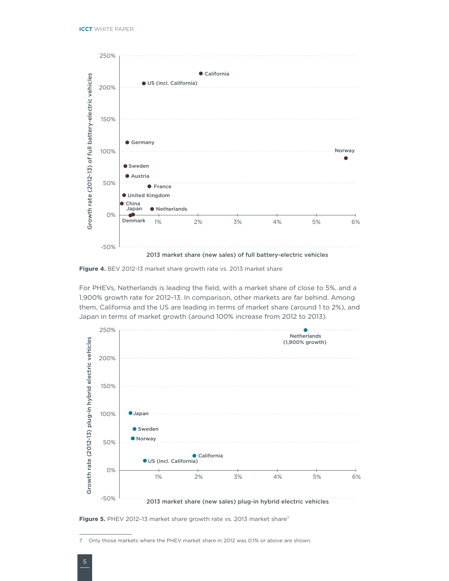

<span id="page-9-0"></span>**Figure 4.** BEV 2012-13 market share growth rate vs. 2013 market share

For PHEVs, Netherlands is leading the field, with a market share of close to 5%, and a 1,900% growth rate for 2012–13. In comparison, other markets are far behind. Among them, California and the US are leading in terms of market share (around 1 to 2%), and Japan in terms of market growth (around 100% increase from 2012 to 2013).



<span id="page-9-1"></span>**Figure 5.** PHEV 2012-13 market share growth rate vs. 2013 market share<sup>7</sup>

<sup>7</sup> Only those markets where the PHEV market share in 2012 was 0.1% or above are shown.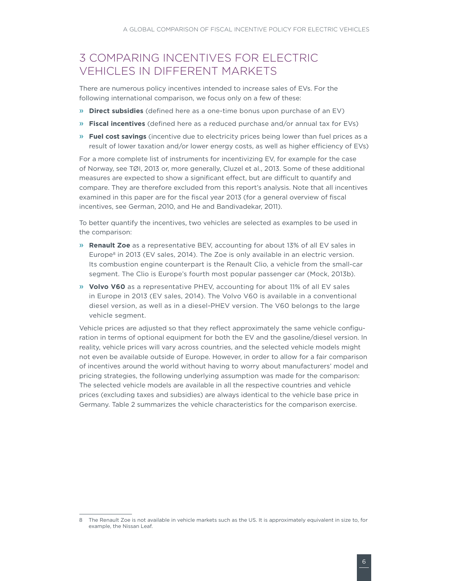### <span id="page-10-0"></span>3 COMPARING INCENTIVES FOR ELECTRIC VEHICLES IN DIFFERENT MARKETS

There are numerous policy incentives intended to increase sales of EVs. For the following international comparison, we focus only on a few of these:

- » **Direct subsidies** (defined here as a one-time bonus upon purchase of an EV)
- » **Fiscal incentives** (defined here as a reduced purchase and/or annual tax for EVs)
- » **Fuel cost savings** (incentive due to electricity prices being lower than fuel prices as a result of lower taxation and/or lower energy costs, as well as higher efficiency of EVs)

For a more complete list of instruments for incentivizing EV, for example for the case of Norway, see TØI, 2013 or, more generally, Cluzel et al., 2013. Some of these additional measures are expected to show a significant effect, but are difficult to quantify and compare. They are therefore excluded from this report's analysis. Note that all incentives examined in this paper are for the fiscal year 2013 (for a general overview of fiscal incentives, see German, 2010, and He and Bandivadekar, 2011).

To better quantify the incentives, two vehicles are selected as examples to be used in the comparison:

- » **Renault Zoe** as a representative BEV, accounting for about 13% of all EV sales in Europe<sup>8</sup> in 2013 (EV sales, 2014). The Zoe is only available in an electric version. Its combustion engine counterpart is the Renault Clio, a vehicle from the small-car segment. The Clio is Europe's fourth most popular passenger car (Mock, 2013b).
- » **Volvo V60** as a representative PHEV, accounting for about 11% of all EV sales in Europe in 2013 (EV sales, 2014). The Volvo V60 is available in a conventional diesel version, as well as in a diesel-PHEV version. The V60 belongs to the large vehicle segment.

Vehicle prices are adjusted so that they reflect approximately the same vehicle configuration in terms of optional equipment for both the EV and the gasoline/diesel version. In reality, vehicle prices will vary across countries, and the selected vehicle models might not even be available outside of Europe. However, in order to allow for a fair comparison of incentives around the world without having to worry about manufacturers' model and pricing strategies, the following underlying assumption was made for the comparison: The selected vehicle models are available in all the respective countries and vehicle prices (excluding taxes and subsidies) are always identical to the vehicle base price in Germany. Table 2 summarizes the vehicle characteristics for the comparison exercise.

<sup>8</sup> The Renault Zoe is not available in vehicle markets such as the US. It is approximately equivalent in size to, for example, the Nissan Leaf.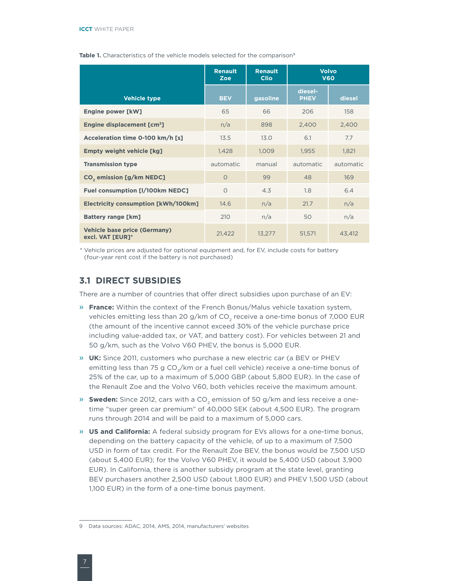|                                                         | <b>Renault</b><br><b>Zoe</b> | <b>Renault</b><br><b>Clio</b> | <b>Volvo</b><br><b>V60</b> |           |
|---------------------------------------------------------|------------------------------|-------------------------------|----------------------------|-----------|
| <b>Vehicle type</b>                                     | <b>BEV</b>                   | gasoline                      | diesel-<br><b>PHEV</b>     | diesel    |
| <b>Engine power [kW]</b>                                | 65                           | 66                            | 206                        | 158       |
| Engine displacement [cm <sup>3</sup> ]                  | n/a                          | 898                           | 2,400                      | 2,400     |
| Acceleration time 0-100 km/h [s]                        | 13.5                         | 13.0                          | 6.1                        | 7.7       |
| <b>Empty weight vehicle [kg]</b>                        | 1,428                        | 1,009                         | 1,955                      | 1,821     |
| <b>Transmission type</b>                                | automatic                    | manual                        | automatic                  | automatic |
| CO <sub>2</sub> emission [g/km NEDC]                    | $\Omega$                     | 99                            | 48                         | 169       |
| <b>Fuel consumption [I/100km NEDC]</b>                  | $\Omega$                     | 4.3                           | 1.8                        | 6.4       |
| <b>Electricity consumption [kWh/100km]</b>              | 14.6                         | n/a                           | 21.7                       | n/a       |
| <b>Battery range [km]</b>                               | 210                          | n/a                           | 50                         | n/a       |
| <b>Vehicle base price (Germany)</b><br>excl. VAT [EUR]* | 21,422                       | 13,277                        | 51,571                     | 43,412    |

#### <span id="page-11-0"></span>Table 1. Characteristics of the vehicle models selected for the comparison<sup>9</sup>

\* Vehicle prices are adjusted for optional equipment and, for EV, include costs for battery (four-year rent cost if the battery is not purchased)

### **3.1 DIRECT SUBSIDIES**

There are a number of countries that offer direct subsidies upon purchase of an EV:

- » **France:** Within the context of the French Bonus/Malus vehicle taxation system, vehicles emitting less than 20 g/km of CO<sub>2</sub> receive a one-time bonus of 7,000 EUR (the amount of the incentive cannot exceed 30% of the vehicle purchase price including value-added tax, or VAT, and battery cost). For vehicles between 21 and 50 g/km, such as the Volvo V60 PHEV, the bonus is 5,000 EUR.
- » **UK:** Since 2011, customers who purchase a new electric car (a BEV or PHEV emitting less than 75 g  $CO<sub>2</sub>/km$  or a fuel cell vehicle) receive a one-time bonus of 25% of the car, up to a maximum of 5,000 GBP (about 5,800 EUR). In the case of the Renault Zoe and the Volvo V60, both vehicles receive the maximum amount.
- » **Sweden:** Since 2012, cars with a CO<sub>2</sub> emission of 50 g/km and less receive a onetime "super green car premium" of 40,000 SEK (about 4,500 EUR). The program runs through 2014 and will be paid to a maximum of 5,000 cars.
- » **US and California:** A federal subsidy program for EVs allows for a one-time bonus, depending on the battery capacity of the vehicle, of up to a maximum of 7,500 USD in form of tax credit. For the Renault Zoe BEV, the bonus would be 7,500 USD (about 5,400 EUR); for the Volvo V60 PHEV, it would be 5,400 USD (about 3,900 EUR). In California, there is another subsidy program at the state level, granting BEV purchasers another 2,500 USD (about 1,800 EUR) and PHEV 1,500 USD (about 1,100 EUR) in the form of a one-time bonus payment.

<sup>9</sup> Data sources: ADAC, 2014, AMS, 2014, manufacturers' websites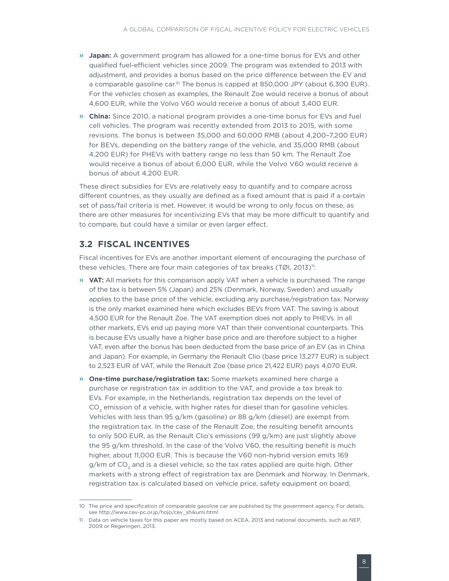- <span id="page-12-0"></span>» **Japan:** A government program has allowed for a one-time bonus for EVs and other qualified fuel-efficient vehicles since 2009. The program was extended to 2013 with adjustment, and provides a bonus based on the price difference between the EV and a comparable gasoline car.<sup>10</sup> The bonus is capped at 850,000 JPY (about 6,300 EUR). For the vehicles chosen as examples, the Renault Zoe would receive a bonus of about 4,600 EUR, while the Volvo V60 would receive a bonus of about 3,400 EUR.
- » **China:** Since 2010, a national program provides a one-time bonus for EVs and fuel cell vehicles. The program was recently extended from 2013 to 2015, with some revisions. The bonus is between 35,000 and 60,000 RMB (about 4,200–7,200 EUR) for BEVs, depending on the battery range of the vehicle, and 35,000 RMB (about 4,200 EUR) for PHEVs with battery range no less than 50 km. The Renault Zoe would receive a bonus of about 6,000 EUR, while the Volvo V60 would receive a bonus of about 4,200 EUR.

These direct subsidies for EVs are relatively easy to quantify and to compare across different countries, as they usually are defined as a fixed amount that is paid if a certain set of pass/fail criteria is met. However, it would be wrong to only focus on these, as there are other measures for incentivizing EVs that may be more difficult to quantify and to compare, but could have a similar or even larger effect.

### **3.2 FISCAL INCENTIVES**

Fiscal incentives for EVs are another important element of encouraging the purchase of these vehicles. There are four main categories of tax breaks (TØI, 2013)":

- » **VAT:** All markets for this comparison apply VAT when a vehicle is purchased. The range of the tax is between 5% (Japan) and 25% (Denmark, Norway, Sweden) and usually applies to the base price of the vehicle, excluding any purchase/registration tax. Norway is the only market examined here which excludes BEVs from VAT. The saving is about 4,500 EUR for the Renault Zoe. The VAT exemption does not apply to PHEVs. In all other markets, EVs end up paying more VAT than their conventional counterparts. This is because EVs usually have a higher base price and are therefore subject to a higher VAT, even after the bonus has been deducted from the base price of an EV (as in China and Japan). For example, in Germany the Renault Clio (base price 13,277 EUR) is subject to 2,523 EUR of VAT, while the Renault Zoe (base price 21,422 EUR) pays 4,070 EUR.
- » **One-time purchase/registration tax:** Some markets examined here charge a purchase or registration tax in addition to the VAT, and provide a tax break to EVs. For example, in the Netherlands, registration tax depends on the level of CO<sub>2</sub> emission of a vehicle, with higher rates for diesel than for gasoline vehicles. Vehicles with less than 95 g/km (gasoline) or 88 g/km (diesel) are exempt from the registration tax. In the case of the Renault Zoe, the resulting benefit amounts to only 500 EUR, as the Renault Clio's emissions (99 g/km) are just slightly above the 95 g/km threshold. In the case of the Volvo V60, the resulting benefit is much higher, about 11,000 EUR. This is because the V60 non-hybrid version emits 169  $g/km$  of  $CO<sub>2</sub>$  and is a diesel vehicle, so the tax rates applied are quite high. Other markets with a strong effect of registration tax are Denmark and Norway. In Denmark, registration tax is calculated based on vehicle price, safety equipment on board,

<sup>10</sup> The price and specification of comparable gasoline car are published by the government agency. For details, see http://www.cev-pc.or.jp/hojo/cev\_shikumi.html

<sup>11</sup> Data on vehicle taxes for this paper are mostly based on ACEA, 2013 and national documents, such as NEP, 2009 or Regeringen, 2013.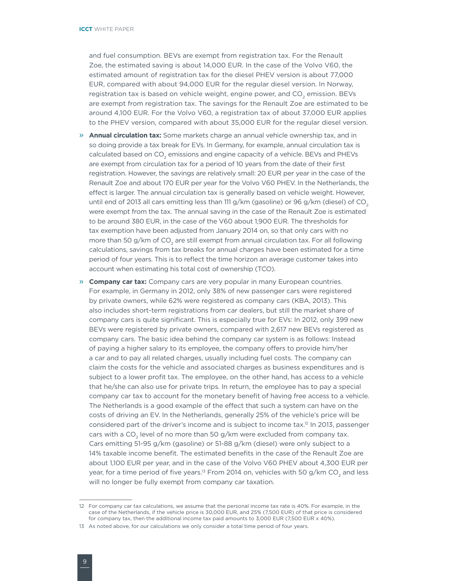and fuel consumption. BEVs are exempt from registration tax. For the Renault Zoe, the estimated saving is about 14,000 EUR. In the case of the Volvo V60, the estimated amount of registration tax for the diesel PHEV version is about 77,000 EUR, compared with about 94,000 EUR for the regular diesel version. In Norway, registration tax is based on vehicle weight, engine power, and CO<sub>2</sub> emission. BEVs are exempt from registration tax. The savings for the Renault Zoe are estimated to be around 4,100 EUR. For the Volvo V60, a registration tax of about 37,000 EUR applies to the PHEV version, compared with about 35,000 EUR for the regular diesel version.

- » **Annual circulation tax:** Some markets charge an annual vehicle ownership tax, and in so doing provide a tax break for EVs. In Germany, for example, annual circulation tax is calculated based on CO<sub>2</sub> emissions and engine capacity of a vehicle. BEVs and PHEVs are exempt from circulation tax for a period of 10 years from the date of their first registration. However, the savings are relatively small: 20 EUR per year in the case of the Renault Zoe and about 170 EUR per year for the Volvo V60 PHEV. In the Netherlands, the effect is larger. The annual circulation tax is generally based on vehicle weight. However, until end of 2013 all cars emitting less than 111 g/km (gasoline) or 96 g/km (diesel) of  $CO<sub>2</sub>$ were exempt from the tax. The annual saving in the case of the Renault Zoe is estimated to be around 380 EUR, in the case of the V60 about 1,900 EUR. The thresholds for tax exemption have been adjusted from January 2014 on, so that only cars with no more than 50 g/km of CO<sub>2</sub> are still exempt from annual circulation tax. For all following calculations, savings from tax breaks for annual charges have been estimated for a time period of four years. This is to reflect the time horizon an average customer takes into account when estimating his total cost of ownership (TCO).
- » **Company car tax:** Company cars are very popular in many European countries. For example, in Germany in 2012, only 38% of new passenger cars were registered by private owners, while 62% were registered as company cars (KBA, 2013). This also includes short-term registrations from car dealers, but still the market share of company cars is quite significant. This is especially true for EVs: In 2012, only 399 new BEVs were registered by private owners, compared with 2,617 new BEVs registered as company cars. The basic idea behind the company car system is as follows: Instead of paying a higher salary to its employee, the company offers to provide him/her a car and to pay all related charges, usually including fuel costs. The company can claim the costs for the vehicle and associated charges as business expenditures and is subject to a lower profit tax. The employee, on the other hand, has access to a vehicle that he/she can also use for private trips. In return, the employee has to pay a special company car tax to account for the monetary benefit of having free access to a vehicle. The Netherlands is a good example of the effect that such a system can have on the costs of driving an EV. In the Netherlands, generally 25% of the vehicle's price will be considered part of the driver's income and is subject to income tax.12 In 2013, passenger cars with a  $CO<sub>2</sub>$  level of no more than 50 g/km were excluded from company tax. Cars emitting 51-95 g/km (gasoline) or 51-88 g/km (diesel) were only subject to a 14% taxable income benefit. The estimated benefits in the case of the Renault Zoe are about 1,100 EUR per year, and in the case of the Volvo V60 PHEV about 4,300 EUR per year, for a time period of five years.<sup>13</sup> From 2014 on, vehicles with 50  $g/km$  CO<sub>2</sub> and less will no longer be fully exempt from company car taxation.

<sup>12</sup> For company car tax calculations, we assume that the personal income tax rate is 40%. For example, in the case of the Netherlands, if the vehicle price is 30,000 EUR, and 25% (7,500 EUR) of that price is considered for company tax, then the additional income tax paid amounts to 3,000 EUR (7,500 EUR x 40%).

<sup>13</sup> As noted above, for our calculations we only consider a total time period of four years.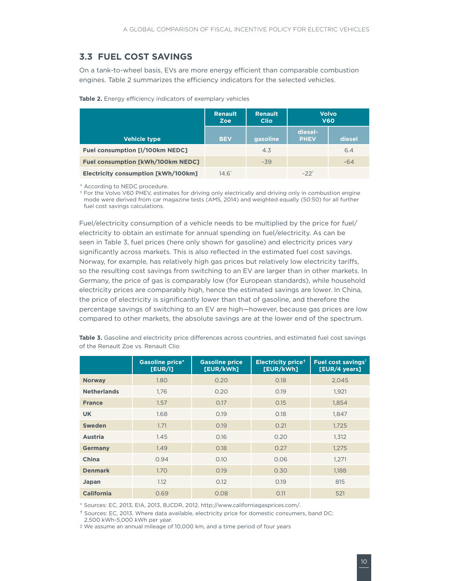### <span id="page-14-0"></span>**3.3 FUEL COST SAVINGS**

On a tank-to-wheel basis, EVs are more energy efficient than comparable combustion engines. [Table 2](#page-14-1) summarizes the efficiency indicators for the selected vehicles.

|                                            | <b>Renault</b><br><b>Zoe</b> | <b>Renault</b><br><b>Clio</b> | <b>Volvo</b><br><b>V60</b> |        |
|--------------------------------------------|------------------------------|-------------------------------|----------------------------|--------|
| <b>Vehicle type</b>                        | <b>BEV</b>                   | gasoline                      | diesel-<br><b>PHEV</b>     | diesel |
| Fuel consumption [I/100km NEDC]            |                              | 4.3                           |                            | 6.4    |
| <b>Fuel consumption [kWh/100km NEDC]</b>   |                              | $-39$                         |                            | $-64$  |
| <b>Electricity consumption [kWh/100km]</b> | $14.6^{\circ}$               |                               | $-22^+$                    |        |

<span id="page-14-1"></span>**Table 2.** Energy efficiency indicators of exemplary vehicles

\* According to NEDC procedure.

† For the Volvo V60 PHEV, estimates for driving only electrically and driving only in combustion engine mode were derived from car magazine tests (AMS, 2014) and weighted equally (50:50) for all further fuel cost savings calculations.

Fuel/electricity consumption of a vehicle needs to be multiplied by the price for fuel/ electricity to obtain an estimate for annual spending on fuel/electricity. As can be seen in [Table 3,](#page-14-2) fuel prices (here only shown for gasoline) and electricity prices vary significantly across markets. This is also reflected in the estimated fuel cost savings. Norway, for example, has relatively high gas prices but relatively low electricity tariffs, so the resulting cost savings from switching to an EV are larger than in other markets. In Germany, the price of gas is comparably low (for European standards), while household electricity prices are comparably high, hence the estimated savings are lower. In China, the price of electricity is significantly lower than that of gasoline, and therefore the percentage savings of switching to an EV are high—however, because gas prices are low compared to other markets, the absolute savings are at the lower end of the spectrum.

|                    | <b>Gasoline price*</b><br>[EUR/I] | <b>Gasoline price</b><br>[EUR/kWh] | <b>Electricity price<sup>+</sup></b><br>[EUR/kWh] | <b>Fuel cost savings<sup>t</sup></b><br>[EUR/4 years] |
|--------------------|-----------------------------------|------------------------------------|---------------------------------------------------|-------------------------------------------------------|
| <b>Norway</b>      | 1.80                              | 0.20                               | 0.18                                              | 2,045                                                 |
| <b>Netherlands</b> | 1.76                              | 0.20                               | 0.19                                              | 1.921                                                 |
| <b>France</b>      | 1.57                              | 0.17                               | 0.15                                              | 1,854                                                 |
| <b>UK</b>          | 1.68                              | 0.19                               | 0.18                                              | 1,847                                                 |
| <b>Sweden</b>      | 1.71                              | 0.19                               | 0.21                                              | 1,725                                                 |
| <b>Austria</b>     | 1.45                              | 0.16                               | 0.20                                              | 1.312                                                 |
| <b>Germany</b>     | 1.49                              | 0.18                               | 0.27                                              | 1,275                                                 |
| China              | 0.94                              | 0.10                               | 0.06                                              | 1.271                                                 |
| <b>Denmark</b>     | 1.70                              | 0.19                               | 0.30                                              | 1,188                                                 |
| Japan              | 1.12                              | 0.12                               | 0.19                                              | 815                                                   |
| <b>California</b>  | 0.69                              | 0.08                               | 0.11                                              | 521                                                   |

<span id="page-14-2"></span>Table 3. Gasoline and electricity price differences across countries, and estimated fuel cost savings of the Renault Zoe vs. Renault Clio

\* Sources: EC, 2013, EIA, 2013, BJCDR, 2012, http://www.californiagasprices.com/.

† Sources: EC, 2013. Where data available, electricity price for domestic consumers, band DC: 2,500 kWh-5,000 kWh per year.

‡ We assume an annual mileage of 10,000 km, and a time period of four years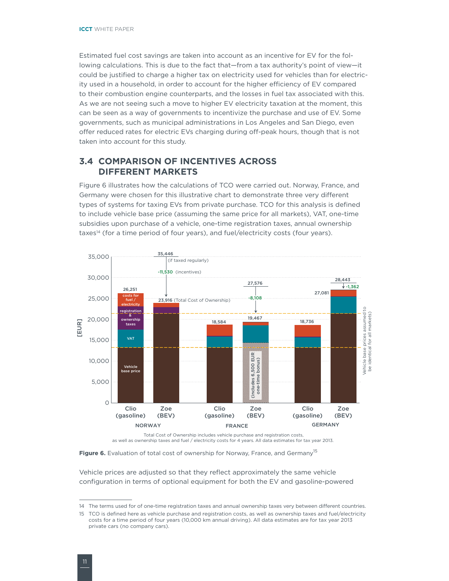<span id="page-15-0"></span>Estimated fuel cost savings are taken into account as an incentive for EV for the following calculations. This is due to the fact that—from a tax authority's point of view—it could be justified to charge a higher tax on electricity used for vehicles than for electricity used in a household, in order to account for the higher efficiency of EV compared to their combustion engine counterparts, and the losses in fuel tax associated with this. As we are not seeing such a move to higher EV electricity taxation at the moment, this can be seen as a way of governments to incentivize the purchase and use of EV. Some governments, such as municipal administrations in Los Angeles and San Diego, even offer reduced rates for electric EVs charging during off-peak hours, though that is not taken into account for this study.

### **3.4 COMPARISON OF INCENTIVES ACROSS DIFFERENT MARKETS**

[Figure 6](#page-15-1) illustrates how the calculations of TCO were carried out. Norway, France, and Germany were chosen for this illustrative chart to demonstrate three very different types of systems for taxing EVs from private purchase. TCO for this analysis is defined to include vehicle base price (assuming the same price for all markets), VAT, one-time subsidies upon purchase of a vehicle, one-time registration taxes, annual ownership taxes<sup>14</sup> (for a time period of four years), and fuel/electricity costs (four years).



Total Cost of Ownership includes vehicle purchase and registration costs, as well as ownership taxes and fuel / electricity costs for 4 years. All data estimates for tax year 2013.

<span id="page-15-1"></span>Figure 6. Evaluation of total cost of ownership for Norway, France, and Germany<sup>15</sup>

Vehicle prices are adjusted so that they reflect approximately the same vehicle configuration in terms of optional equipment for both the EV and gasoline-powered

<sup>14</sup> The terms used for of one-time registration taxes and annual ownership taxes very between different countries.

<sup>15</sup> TCO is defined here as vehicle purchase and registration costs, as well as ownership taxes and fuel/electricity costs for a time period of four years (10,000 km annual driving). All data estimates are for tax year 2013 private cars (no company cars).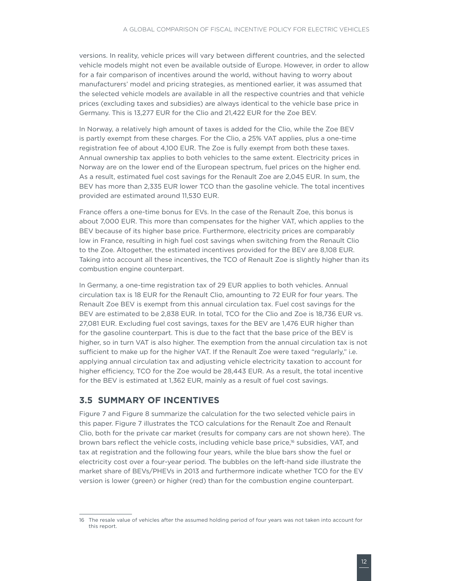<span id="page-16-0"></span>versions. In reality, vehicle prices will vary between different countries, and the selected vehicle models might not even be available outside of Europe. However, in order to allow for a fair comparison of incentives around the world, without having to worry about manufacturers' model and pricing strategies, as mentioned earlier, it was assumed that the selected vehicle models are available in all the respective countries and that vehicle prices (excluding taxes and subsidies) are always identical to the vehicle base price in Germany. This is 13,277 EUR for the Clio and 21,422 EUR for the Zoe BEV.

In Norway, a relatively high amount of taxes is added for the Clio, while the Zoe BEV is partly exempt from these charges. For the Clio, a 25% VAT applies, plus a one-time registration fee of about 4,100 EUR. The Zoe is fully exempt from both these taxes. Annual ownership tax applies to both vehicles to the same extent. Electricity prices in Norway are on the lower end of the European spectrum, fuel prices on the higher end. As a result, estimated fuel cost savings for the Renault Zoe are 2,045 EUR. In sum, the BEV has more than 2,335 EUR lower TCO than the gasoline vehicle. The total incentives provided are estimated around 11,530 EUR.

France offers a one-time bonus for EVs. In the case of the Renault Zoe, this bonus is about 7,000 EUR. This more than compensates for the higher VAT, which applies to the BEV because of its higher base price. Furthermore, electricity prices are comparably low in France, resulting in high fuel cost savings when switching from the Renault Clio to the Zoe. Altogether, the estimated incentives provided for the BEV are 8,108 EUR. Taking into account all these incentives, the TCO of Renault Zoe is slightly higher than its combustion engine counterpart.

In Germany, a one-time registration tax of 29 EUR applies to both vehicles. Annual circulation tax is 18 EUR for the Renault Clio, amounting to 72 EUR for four years. The Renault Zoe BEV is exempt from this annual circulation tax. Fuel cost savings for the BEV are estimated to be 2,838 EUR. In total, TCO for the Clio and Zoe is 18,736 EUR vs. 27,081 EUR. Excluding fuel cost savings, taxes for the BEV are 1,476 EUR higher than for the gasoline counterpart. This is due to the fact that the base price of the BEV is higher, so in turn VAT is also higher. The exemption from the annual circulation tax is not sufficient to make up for the higher VAT. If the Renault Zoe were taxed "regularly," i.e. applying annual circulation tax and adjusting vehicle electricity taxation to account for higher efficiency, TCO for the Zoe would be 28,443 EUR. As a result, the total incentive for the BEV is estimated at 1,362 EUR, mainly as a result of fuel cost savings.

### **3.5 SUMMARY OF INCENTIVES**

Figure 7 and [Figure 8](#page-17-0) summarize the calculation for the two selected vehicle pairs in this paper. Figure 7 illustrates the TCO calculations for the Renault Zoe and Renault Clio, both for the private car market (results for company cars are not shown here). The brown bars reflect the vehicle costs, including vehicle base price,<sup>16</sup> subsidies, VAT, and tax at registration and the following four years, while the blue bars show the fuel or electricity cost over a four-year period. The bubbles on the left-hand side illustrate the market share of BEVs/PHEVs in 2013 and furthermore indicate whether TCO for the EV version is lower (green) or higher (red) than for the combustion engine counterpart.

<sup>16</sup> The resale value of vehicles after the assumed holding period of four years was not taken into account for this report.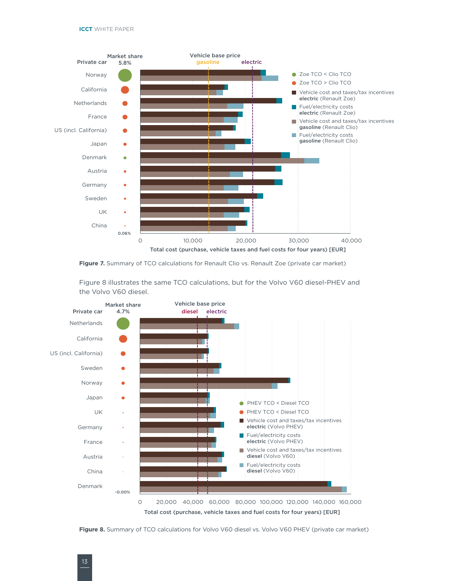

Figure 7. Summary of TCO calculations for Renault Clio vs. Renault Zoe (private car market)

[Figure 8](#page-17-0) illustrates the same TCO calculations, but for the Volvo V60 diesel-PHEV and the Volvo V60 diesel.



<span id="page-17-0"></span>**Figure 8.** Summary of TCO calculations for Volvo V60 diesel vs. Volvo V60 PHEV (private car market)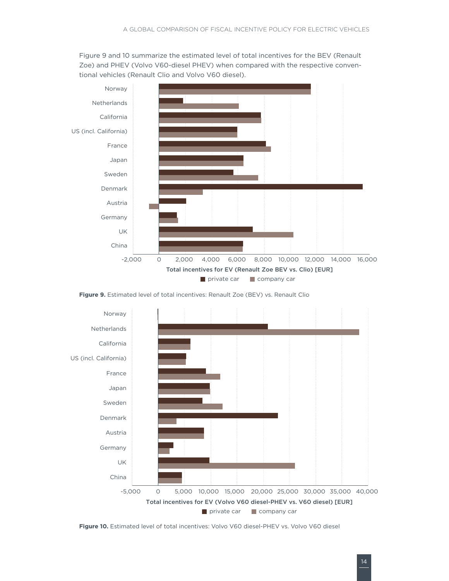Figure 9 and 10 summarize the estimated level of total incentives for the BEV (Renault Zoe) and PHEV (Volvo V60-diesel PHEV) when compared with the respective conventional vehicles (Renault Clio and Volvo V60 diesel).



**Figure 9.** Estimated level of total incentives: Renault Zoe (BEV) vs. Renault Clio



**Figure 10.** Estimated level of total incentives: Volvo V60 diesel-PHEV vs. Volvo V60 diesel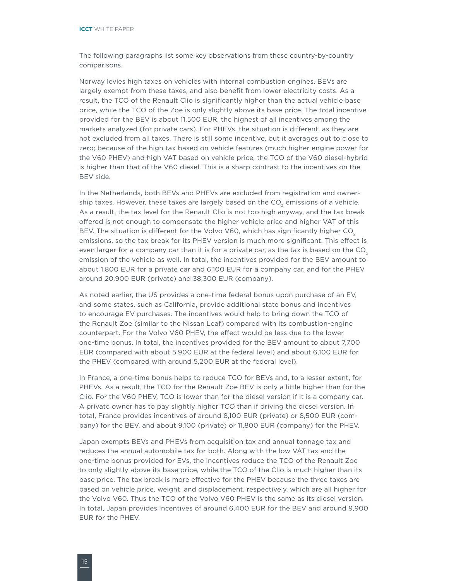The following paragraphs list some key observations from these country-by-country comparisons.

Norway levies high taxes on vehicles with internal combustion engines. BEVs are largely exempt from these taxes, and also benefit from lower electricity costs. As a result, the TCO of the Renault Clio is significantly higher than the actual vehicle base price, while the TCO of the Zoe is only slightly above its base price. The total incentive provided for the BEV is about 11,500 EUR, the highest of all incentives among the markets analyzed (for private cars). For PHEVs, the situation is different, as they are not excluded from all taxes. There is still some incentive, but it averages out to close to zero; because of the high tax based on vehicle features (much higher engine power for the V60 PHEV) and high VAT based on vehicle price, the TCO of the V60 diesel-hybrid is higher than that of the V60 diesel. This is a sharp contrast to the incentives on the BEV side.

In the Netherlands, both BEVs and PHEVs are excluded from registration and ownership taxes. However, these taxes are largely based on the  $CO<sub>2</sub>$  emissions of a vehicle. As a result, the tax level for the Renault Clio is not too high anyway, and the tax break offered is not enough to compensate the higher vehicle price and higher VAT of this BEV. The situation is different for the Volvo V60, which has significantly higher  $CO<sub>2</sub>$ emissions, so the tax break for its PHEV version is much more significant. This effect is even larger for a company car than it is for a private car, as the tax is based on the  $CO<sub>2</sub>$ emission of the vehicle as well. In total, the incentives provided for the BEV amount to about 1,800 EUR for a private car and 6,100 EUR for a company car, and for the PHEV around 20,900 EUR (private) and 38,300 EUR (company).

As noted earlier, the US provides a one-time federal bonus upon purchase of an EV, and some states, such as California, provide additional state bonus and incentives to encourage EV purchases. The incentives would help to bring down the TCO of the Renault Zoe (similar to the Nissan Leaf) compared with its combustion-engine counterpart. For the Volvo V60 PHEV, the effect would be less due to the lower one-time bonus. In total, the incentives provided for the BEV amount to about 7,700 EUR (compared with about 5,900 EUR at the federal level) and about 6,100 EUR for the PHEV (compared with around 5,200 EUR at the federal level).

In France, a one-time bonus helps to reduce TCO for BEVs and, to a lesser extent, for PHEVs. As a result, the TCO for the Renault Zoe BEV is only a little higher than for the Clio. For the V60 PHEV, TCO is lower than for the diesel version if it is a company car. A private owner has to pay slightly higher TCO than if driving the diesel version. In total, France provides incentives of around 8,100 EUR (private) or 8,500 EUR (company) for the BEV, and about 9,100 (private) or 11,800 EUR (company) for the PHEV.

Japan exempts BEVs and PHEVs from acquisition tax and annual tonnage tax and reduces the annual automobile tax for both. Along with the low VAT tax and the one-time bonus provided for EVs, the incentives reduce the TCO of the Renault Zoe to only slightly above its base price, while the TCO of the Clio is much higher than its base price. The tax break is more effective for the PHEV because the three taxes are based on vehicle price, weight, and displacement, respectively, which are all higher for the Volvo V60. Thus the TCO of the Volvo V60 PHEV is the same as its diesel version. In total, Japan provides incentives of around 6,400 EUR for the BEV and around 9,900 EUR for the PHEV.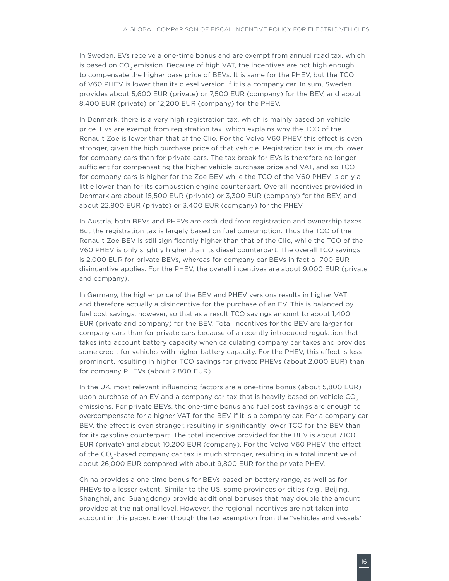In Sweden, EVs receive a one-time bonus and are exempt from annual road tax, which is based on CO<sub>2</sub> emission. Because of high VAT, the incentives are not high enough to compensate the higher base price of BEVs. It is same for the PHEV, but the TCO of V60 PHEV is lower than its diesel version if it is a company car. In sum, Sweden provides about 5,600 EUR (private) or 7,500 EUR (company) for the BEV, and about 8,400 EUR (private) or 12,200 EUR (company) for the PHEV.

In Denmark, there is a very high registration tax, which is mainly based on vehicle price. EVs are exempt from registration tax, which explains why the TCO of the Renault Zoe is lower than that of the Clio. For the Volvo V60 PHEV this effect is even stronger, given the high purchase price of that vehicle. Registration tax is much lower for company cars than for private cars. The tax break for EVs is therefore no longer sufficient for compensating the higher vehicle purchase price and VAT, and so TCO for company cars is higher for the Zoe BEV while the TCO of the V60 PHEV is only a little lower than for its combustion engine counterpart. Overall incentives provided in Denmark are about 15,500 EUR (private) or 3,300 EUR (company) for the BEV, and about 22,800 EUR (private) or 3,400 EUR (company) for the PHEV.

In Austria, both BEVs and PHEVs are excluded from registration and ownership taxes. But the registration tax is largely based on fuel consumption. Thus the TCO of the Renault Zoe BEV is still significantly higher than that of the Clio, while the TCO of the V60 PHEV is only slightly higher than its diesel counterpart. The overall TCO savings is 2,000 EUR for private BEVs, whereas for company car BEVs in fact a -700 EUR disincentive applies. For the PHEV, the overall incentives are about 9,000 EUR (private and company).

In Germany, the higher price of the BEV and PHEV versions results in higher VAT and therefore actually a disincentive for the purchase of an EV. This is balanced by fuel cost savings, however, so that as a result TCO savings amount to about 1,400 EUR (private and company) for the BEV. Total incentives for the BEV are larger for company cars than for private cars because of a recently introduced regulation that takes into account battery capacity when calculating company car taxes and provides some credit for vehicles with higher battery capacity. For the PHEV, this effect is less prominent, resulting in higher TCO savings for private PHEVs (about 2,000 EUR) than for company PHEVs (about 2,800 EUR).

In the UK, most relevant influencing factors are a one-time bonus (about 5,800 EUR) upon purchase of an EV and a company car tax that is heavily based on vehicle  $CO<sub>2</sub>$ emissions. For private BEVs, the one-time bonus and fuel cost savings are enough to overcompensate for a higher VAT for the BEV if it is a company car. For a company car BEV, the effect is even stronger, resulting in significantly lower TCO for the BEV than for its gasoline counterpart. The total incentive provided for the BEV is about 7,100 EUR (private) and about 10,200 EUR (company). For the Volvo V60 PHEV, the effect of the CO<sub>2</sub>-based company car tax is much stronger, resulting in a total incentive of about 26,000 EUR compared with about 9,800 EUR for the private PHEV.

China provides a one-time bonus for BEVs based on battery range, as well as for PHEVs to a lesser extent. Similar to the US, some provinces or cities (e.g., Beijing, Shanghai, and Guangdong) provide additional bonuses that may double the amount provided at the national level. However, the regional incentives are not taken into account in this paper. Even though the tax exemption from the "vehicles and vessels"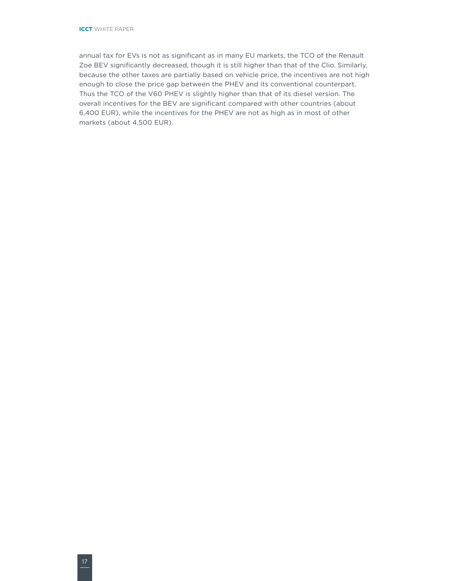annual tax for EVs is not as significant as in many EU markets, the TCO of the Renault Zoe BEV significantly decreased, though it is still higher than that of the Clio. Similarly, because the other taxes are partially based on vehicle price, the incentives are not high enough to close the price gap between the PHEV and its conventional counterpart. Thus the TCO of the V60 PHEV is slightly higher than that of its diesel version. The overall incentives for the BEV are significant compared with other countries (about 6,400 EUR), while the incentives for the PHEV are not as high as in most of other markets (about 4,500 EUR).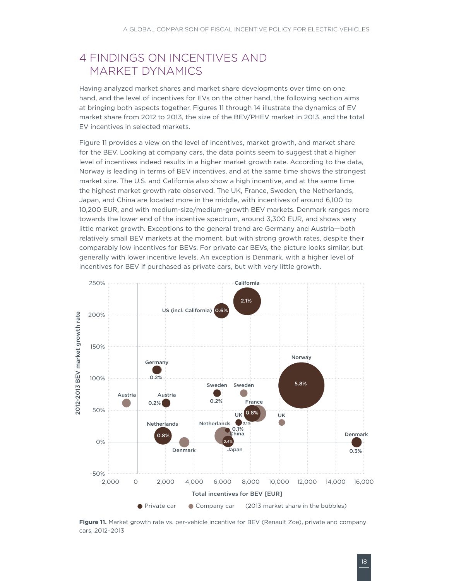### <span id="page-22-0"></span>4 FINDINGS ON INCENTIVES AND MARKET DYNAMICS

Having analyzed market shares and market share developments over time on one hand, and the level of incentives for EVs on the other hand, the following section aims at bringing both aspects together. Figures 11 through 14 illustrate the dynamics of EV market share from 2012 to 2013, the size of the BEV/PHEV market in 2013, and the total EV incentives in selected markets.

Figure 11 provides a view on the level of incentives, market growth, and market share for the BEV. Looking at company cars, the data points seem to suggest that a higher level of incentives indeed results in a higher market growth rate. According to the data, Norway is leading in terms of BEV incentives, and at the same time shows the strongest market size. The U.S. and California also show a high incentive, and at the same time the highest market growth rate observed. The UK, France, Sweden, the Netherlands, Japan, and China are located more in the middle, with incentives of around 6,100 to 10,200 EUR, and with medium-size/medium-growth BEV markets. Denmark ranges more towards the lower end of the incentive spectrum, around 3,300 EUR, and shows very little market growth. Exceptions to the general trend are Germany and Austria—both relatively small BEV markets at the moment, but with strong growth rates, despite their comparably low incentives for BEVs. For private car BEVs, the picture looks similar, but generally with lower incentive levels. An exception is Denmark, with a higher level of incentives for BEV if purchased as private cars, but with very little growth.



**Figure 11.** Market growth rate vs. per-vehicle incentive for BEV (Renault Zoe), private and company cars, 2012–2013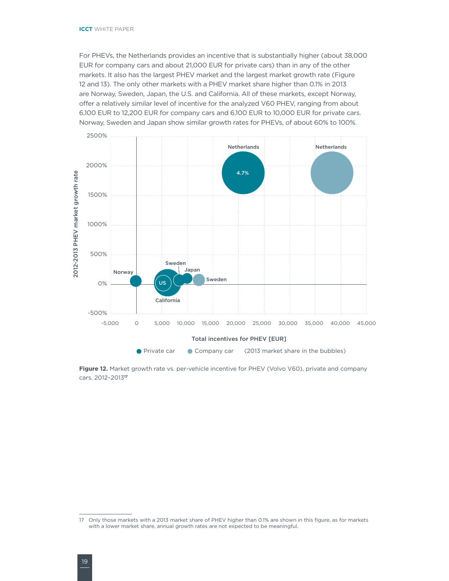For PHEVs, the Netherlands provides an incentive that is substantially higher (about 38,000 EUR for company cars and about 21,000 EUR for private cars) than in any of the other markets. It also has the largest PHEV market and the largest market growth rate (Figure 12 and 13). The only other markets with a PHEV market share higher than 0.1% in 2013 are Norway, Sweden, Japan, the U.S. and California. All of these markets, except Norway, offer a relatively similar level of incentive for the analyzed V60 PHEV, ranging from about 6,100 EUR to 12,200 EUR for company cars and 6,100 EUR to 10,000 EUR for private cars. Norway, Sweden and Japan show similar growth rates for PHEVs, of about 60% to 100%.



Figure 12. Market growth rate vs. per-vehicle incentive for PHEV (Volvo V60), private and company cars, 2012–2013**<sup>17</sup>**

<sup>17</sup> Only those markets with a 2013 market share of PHEV higher than 0.1% are shown in this figure, as for markets with a lower market share, annual growth rates are not expected to be meaningful.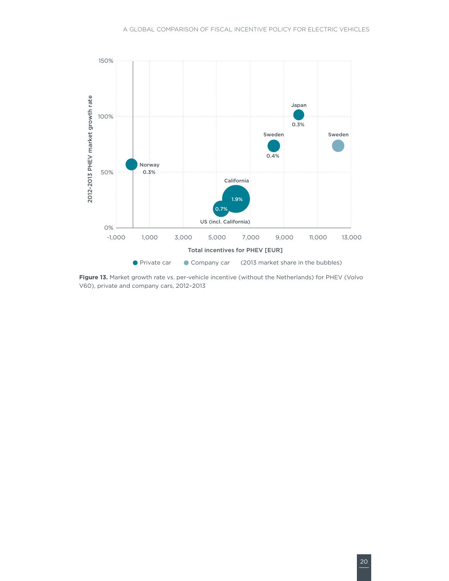

**Figure 13.** Market growth rate vs. per-vehicle incentive (without the Netherlands) for PHEV (Volvo V60), private and company cars, 2012–2013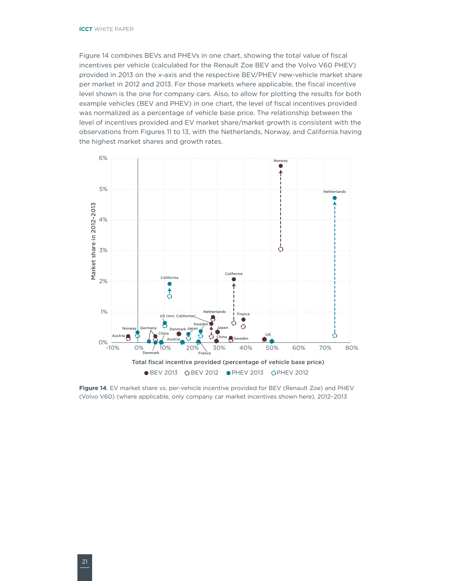Figure 14 combines BEVs and PHEVs in one chart, showing the total value of fiscal incentives per vehicle (calculated for the Renault Zoe BEV and the Volvo V60 PHEV) provided in 2013 on the x-axis and the respective BEV/PHEV new-vehicle market share per market in 2012 and 2013. For those markets where applicable, the fiscal incentive level shown is the one for company cars. Also, to allow for plotting the results for both example vehicles (BEV and PHEV) in one chart, the level of fiscal incentives provided was normalized as a percentage of vehicle base price. The relationship between the level of incentives provided and EV market share/market growth is consistent with the observations from Figures 11 to 13, with the Netherlands, Norway, and California having the highest market shares and growth rates.



**Figure 14**. EV market share vs. per-vehicle incentive provided for BEV (Renault Zoe) and PHEV (Volvo V60) (where applicable, only company car market incentives shown here), 2012–2013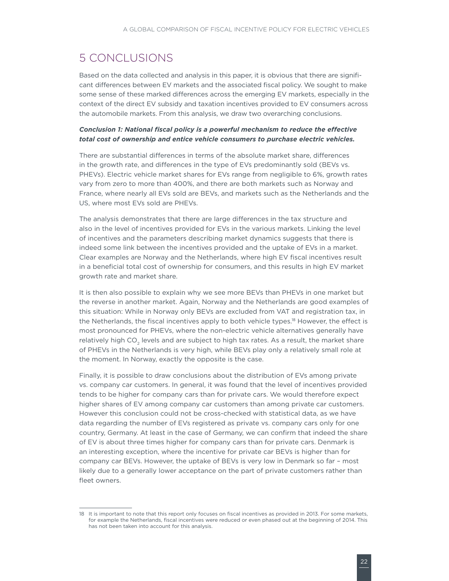# <span id="page-26-0"></span>5 CONCLUSIONS

Based on the data collected and analysis in this paper, it is obvious that there are significant differences between EV markets and the associated fiscal policy. We sought to make some sense of these marked differences across the emerging EV markets, especially in the context of the direct EV subsidy and taxation incentives provided to EV consumers across the automobile markets. From this analysis, we draw two overarching conclusions.

#### *Conclusion 1: National fiscal policy is a powerful mechanism to reduce the effective total cost of ownership and entice vehicle consumers to purchase electric vehicles.*

There are substantial differences in terms of the absolute market share, differences in the growth rate, and differences in the type of EVs predominantly sold (BEVs vs. PHEVs). Electric vehicle market shares for EVs range from negligible to 6%, growth rates vary from zero to more than 400%, and there are both markets such as Norway and France, where nearly all EVs sold are BEVs, and markets such as the Netherlands and the US, where most EVs sold are PHEVs.

The analysis demonstrates that there are large differences in the tax structure and also in the level of incentives provided for EVs in the various markets. Linking the level of incentives and the parameters describing market dynamics suggests that there is indeed some link between the incentives provided and the uptake of EVs in a market. Clear examples are Norway and the Netherlands, where high EV fiscal incentives result in a beneficial total cost of ownership for consumers, and this results in high EV market growth rate and market share.

It is then also possible to explain why we see more BEVs than PHEVs in one market but the reverse in another market. Again, Norway and the Netherlands are good examples of this situation: While in Norway only BEVs are excluded from VAT and registration tax, in the Netherlands, the fiscal incentives apply to both vehicle types.<sup>18</sup> However, the effect is most pronounced for PHEVs, where the non-electric vehicle alternatives generally have relatively high CO<sub>2</sub> levels and are subject to high tax rates. As a result, the market share of PHEVs in the Netherlands is very high, while BEVs play only a relatively small role at the moment. In Norway, exactly the opposite is the case.

Finally, it is possible to draw conclusions about the distribution of EVs among private vs. company car customers. In general, it was found that the level of incentives provided tends to be higher for company cars than for private cars. We would therefore expect higher shares of EV among company car customers than among private car customers. However this conclusion could not be cross-checked with statistical data, as we have data regarding the number of EVs registered as private vs. company cars only for one country, Germany. At least in the case of Germany, we can confirm that indeed the share of EV is about three times higher for company cars than for private cars. Denmark is an interesting exception, where the incentive for private car BEVs is higher than for company car BEVs. However, the uptake of BEVs is very low in Denmark so far – most likely due to a generally lower acceptance on the part of private customers rather than fleet owners.

<sup>18</sup> It is important to note that this report only focuses on fiscal incentives as provided in 2013. For some markets, for example the Netherlands, fiscal incentives were reduced or even phased out at the beginning of 2014. This has not been taken into account for this analysis.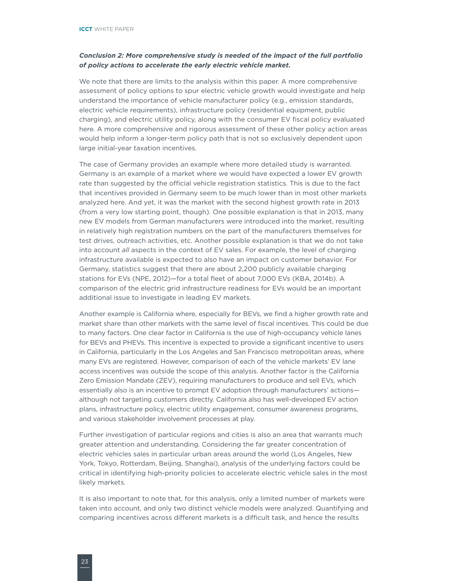#### *Conclusion 2: More comprehensive study is needed of the impact of the full portfolio of policy actions to accelerate the early electric vehicle market.*

We note that there are limits to the analysis within this paper. A more comprehensive assessment of policy options to spur electric vehicle growth would investigate and help understand the importance of vehicle manufacturer policy (e.g., emission standards, electric vehicle requirements), infrastructure policy (residential equipment, public charging), and electric utility policy, along with the consumer EV fiscal policy evaluated here. A more comprehensive and rigorous assessment of these other policy action areas would help inform a longer-term policy path that is not so exclusively dependent upon large initial-year taxation incentives.

The case of Germany provides an example where more detailed study is warranted. Germany is an example of a market where we would have expected a lower EV growth rate than suggested by the official vehicle registration statistics. This is due to the fact that incentives provided in Germany seem to be much lower than in most other markets analyzed here. And yet, it was the market with the second highest growth rate in 2013 (from a very low starting point, though). One possible explanation is that in 2013, many new EV models from German manufacturers were introduced into the market, resulting in relatively high registration numbers on the part of the manufacturers themselves for test drives, outreach activities, etc. Another possible explanation is that we do not take into account *all* aspects in the context of EV sales. For example, the level of charging infrastructure available is expected to also have an impact on customer behavior. For Germany, statistics suggest that there are about 2,200 publicly available charging stations for EVs (NPE, 2012)—for a total fleet of about 7,000 EVs (KBA, 2014b). A comparison of the electric grid infrastructure readiness for EVs would be an important additional issue to investigate in leading EV markets.

Another example is California where, especially for BEVs, we find a higher growth rate and market share than other markets with the same level of fiscal incentives. This could be due to many factors. One clear factor in California is the use of high-occupancy vehicle lanes for BEVs and PHEVs. This incentive is expected to provide a significant incentive to users in California, particularly in the Los Angeles and San Francisco metropolitan areas, where many EVs are registered. However, comparison of each of the vehicle markets' EV lane access incentives was outside the scope of this analysis. Another factor is the California Zero Emission Mandate (ZEV), requiring manufacturers to produce and sell EVs, which essentially also is an incentive to prompt EV adoption through manufacturers' actions although not targeting customers directly. California also has well-developed EV action plans, infrastructure policy, electric utility engagement, consumer awareness programs, and various stakeholder involvement processes at play.

Further investigation of particular regions and cities is also an area that warrants much greater attention and understanding. Considering the far greater concentration of electric vehicles sales in particular urban areas around the world (Los Angeles, New York, Tokyo, Rotterdam, Beijing, Shanghai), analysis of the underlying factors could be critical in identifying high-priority policies to accelerate electric vehicle sales in the most likely markets.

It is also important to note that, for this analysis, only a limited number of markets were taken into account, and only two distinct vehicle models were analyzed. Quantifying and comparing incentives across different markets is a difficult task, and hence the results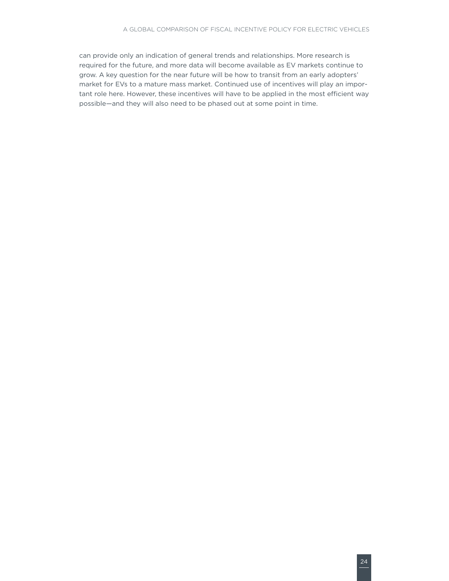can provide only an indication of general trends and relationships. More research is required for the future, and more data will become available as EV markets continue to grow. A key question for the near future will be how to transit from an early adopters' market for EVs to a mature mass market. Continued use of incentives will play an important role here. However, these incentives will have to be applied in the most efficient way possible—and they will also need to be phased out at some point in time.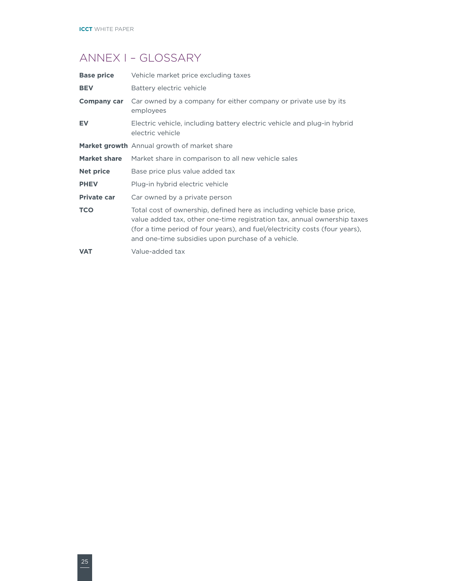# <span id="page-29-0"></span>ANNEX I – GLOSSARY

| <b>Base price</b>   | Vehicle market price excluding taxes                                                                                                                                                                                                                                                    |
|---------------------|-----------------------------------------------------------------------------------------------------------------------------------------------------------------------------------------------------------------------------------------------------------------------------------------|
| <b>BEV</b>          | Battery electric vehicle                                                                                                                                                                                                                                                                |
| <b>Company car</b>  | Car owned by a company for either company or private use by its<br>employees                                                                                                                                                                                                            |
| <b>EV</b>           | Electric vehicle, including battery electric vehicle and plug-in hybrid<br>electric vehicle                                                                                                                                                                                             |
|                     | Market growth Annual growth of market share                                                                                                                                                                                                                                             |
| <b>Market share</b> | Market share in comparison to all new vehicle sales                                                                                                                                                                                                                                     |
| <b>Net price</b>    | Base price plus value added tax                                                                                                                                                                                                                                                         |
| <b>PHEV</b>         | Plug-in hybrid electric vehicle                                                                                                                                                                                                                                                         |
| <b>Private car</b>  | Car owned by a private person                                                                                                                                                                                                                                                           |
| <b>TCO</b>          | Total cost of ownership, defined here as including vehicle base price,<br>value added tax, other one-time registration tax, annual ownership taxes<br>(for a time period of four years), and fuel/electricity costs (four years),<br>and one-time subsidies upon purchase of a vehicle. |
| <b>VAT</b>          | Value-added tax                                                                                                                                                                                                                                                                         |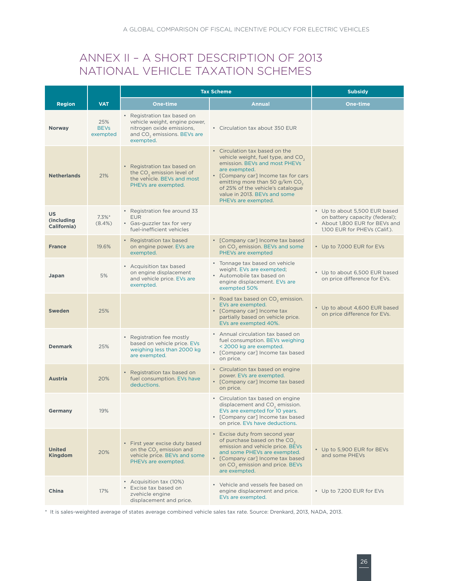# <span id="page-30-0"></span>ANNEX II – A SHORT DESCRIPTION OF 2013 NATIONAL VEHICLE TAXATION SCHEMES

|                                        |                                | <b>Tax Scheme</b>                                                                                                                                 |                                                                                                                                                                                                                                                                                                 | <b>Subsidy</b>                                                                                                                     |
|----------------------------------------|--------------------------------|---------------------------------------------------------------------------------------------------------------------------------------------------|-------------------------------------------------------------------------------------------------------------------------------------------------------------------------------------------------------------------------------------------------------------------------------------------------|------------------------------------------------------------------------------------------------------------------------------------|
| <b>Region</b>                          | <b>VAT</b>                     | One-time                                                                                                                                          | <b>Annual</b>                                                                                                                                                                                                                                                                                   | One-time                                                                                                                           |
| <b>Norway</b>                          | 25%<br><b>BEVs</b><br>exempted | • Registration tax based on<br>vehicle weight, engine power,<br>nitrogen oxide emissions,<br>and CO <sub>2</sub> emissions. BEVs are<br>exempted. | • Circulation tax about 350 EUR                                                                                                                                                                                                                                                                 |                                                                                                                                    |
| <b>Netherlands</b>                     | 21%                            | • Registration tax based on<br>the CO <sub>2</sub> emission level of<br>the vehicle. BEVs and most<br>PHEVs are exempted.                         | • Circulation tax based on the<br>vehicle weight, fuel type, and $CO2$<br>emission. BEVs and most PHEVs<br>are exempted.<br>• [Company car] Income tax for cars<br>emitting more than 50 g/km $CO2$<br>of 25% of the vehicle's catalogue<br>value in 2013. BEVs and some<br>PHEVs are exempted. |                                                                                                                                    |
| <b>US</b><br>(including<br>California) | $7.3\%$ *<br>$(8.4\%)$         | • Registration fee around 33<br><b>EUR</b><br>• Gas-guzzler tax for very<br>fuel-inefficient vehicles                                             |                                                                                                                                                                                                                                                                                                 | • Up to about 5,500 EUR based<br>on battery capacity (federal);<br>• About 1,800 EUR for BEVs and<br>1,100 EUR for PHEVs (Calif.). |
| <b>France</b>                          | 19.6%                          | • Registration tax based<br>on engine power. EVs are<br>exempted.                                                                                 | • [Company car] Income tax based<br>on CO <sub>2</sub> emission. BEVs and some<br>PHEVs are exempted                                                                                                                                                                                            | • Up to 7,000 EUR for EVs                                                                                                          |
| Japan                                  | 5%                             | • Acquisition tax based<br>on engine displacement<br>and vehicle price. EVs are<br>exempted.                                                      | • Tonnage tax based on vehicle<br>weight. EVs are exempted;<br>• Automobile tax based on<br>engine displacement. EVs are<br>exempted 50%                                                                                                                                                        | • Up to about 6,500 EUR based<br>on price difference for EVs.                                                                      |
| <b>Sweden</b>                          | 25%                            |                                                                                                                                                   | • Road tax based on $CO2$ emission.<br>EVs are exempted.<br>• [Company car] Income tax<br>partially based on vehicle price.<br>EVs are exempted 40%.                                                                                                                                            | • Up to about 4,600 EUR based<br>on price difference for EVs.                                                                      |
| <b>Denmark</b>                         | 25%                            | • Registration fee mostly<br>based on vehicle price. EVs<br>weighing less than 2000 kg<br>are exempted.                                           | • Annual circulation tax based on<br>fuel consumption. BEVs weighing<br>< 2000 kg are exempted.<br>• [Company car] Income tax based<br>on price.                                                                                                                                                |                                                                                                                                    |
| <b>Austria</b>                         | 20%                            | • Registration tax based on<br>fuel consumption. EVs have<br>deductions.                                                                          | • Circulation tax based on engine<br>power. EVs are exempted.<br>• [Company car] Income tax based<br>on price.                                                                                                                                                                                  |                                                                                                                                    |
| Germany                                | 19%                            |                                                                                                                                                   | • Circulation tax based on engine<br>displacement and CO <sub>2</sub> emission.<br>EVs are exempted for 10 years.<br>• [Company car] Income tax based<br>on price. EVs have deductions.                                                                                                         |                                                                                                                                    |
| <b>United</b><br><b>Kingdom</b>        | 20%                            | • First year excise duty based<br>on the CO <sub>2</sub> emission and<br>vehicle price. BEVs and some<br>PHEVs are exempted.                      | • Excise duty from second year<br>of purchase based on the CO <sub>2</sub><br>emission and vehicle price. BEVs<br>and some PHEVs are exempted.<br>• [Company car] Income tax based<br>on CO <sub>2</sub> emission and price. BEVs<br>are exempted.                                              | • Up to 5,900 EUR for BEVs<br>and some PHEVs                                                                                       |
| China                                  | 17%                            | • Acquisition tax (10%)<br>• Excise tax based on<br>zvehicle engine<br>displacement and price.                                                    | • Vehicle and vessels fee based on<br>engine displacement and price.<br>EVs are exempted.                                                                                                                                                                                                       | • Up to 7,200 EUR for EVs                                                                                                          |

\* It is sales-weighted average of states average combined vehicle sales tax rate. Source: Drenkard, 2013, NADA, 2013.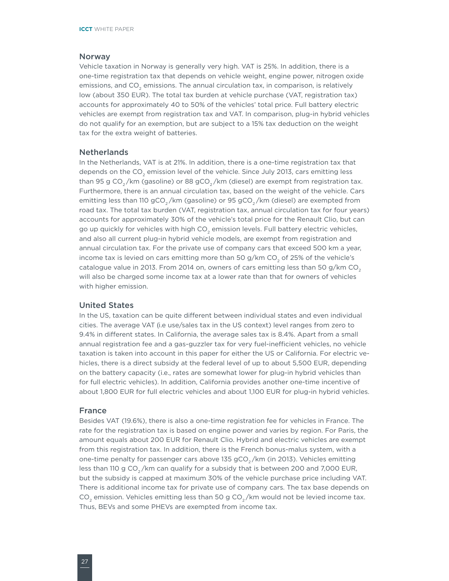#### Norway

Vehicle taxation in Norway is generally very high. VAT is 25%. In addition, there is a one-time registration tax that depends on vehicle weight, engine power, nitrogen oxide emissions, and CO<sub>2</sub> emissions. The annual circulation tax, in comparison, is relatively low (about 350 EUR). The total tax burden at vehicle purchase (VAT, registration tax) accounts for approximately 40 to 50% of the vehicles' total price. Full battery electric vehicles are exempt from registration tax and VAT. In comparison, plug-in hybrid vehicles do not qualify for an exemption, but are subject to a 15% tax deduction on the weight tax for the extra weight of batteries.

#### **Netherlands**

In the Netherlands, VAT is at 21%. In addition, there is a one-time registration tax that depends on the CO<sub>2</sub> emission level of the vehicle. Since July 2013, cars emitting less than 95 g CO<sub>2</sub>/km (gasoline) or 88 gCO<sub>2</sub>/km (diesel) are exempt from registration tax. Furthermore, there is an annual circulation tax, based on the weight of the vehicle. Cars emitting less than 110 gCO<sub>2</sub>/km (gasoline) or 95 gCO<sub>2</sub>/km (diesel) are exempted from road tax. The total tax burden (VAT, registration tax, annual circulation tax for four years) accounts for approximately 30% of the vehicle's total price for the Renault Clio, but can go up quickly for vehicles with high CO<sub>2</sub> emission levels. Full battery electric vehicles, and also all current plug-in hybrid vehicle models, are exempt from registration and annual circulation tax. For the private use of company cars that exceed 500 km a year, income tax is levied on cars emitting more than 50 g/km CO<sub>2</sub> of 25% of the vehicle's catalogue value in 2013. From 2014 on, owners of cars emitting less than 50 g/km  $CO<sub>2</sub>$ will also be charged some income tax at a lower rate than that for owners of vehicles with higher emission.

#### United States

In the US, taxation can be quite different between individual states and even individual cities. The average VAT (i.e use/sales tax in the US context) level ranges from zero to 9.4% in different states. In California, the average sales tax is 8.4%. Apart from a small annual registration fee and a gas-guzzler tax for very fuel-inefficient vehicles, no vehicle taxation is taken into account in this paper for either the US or California. For electric vehicles, there is a direct subsidy at the federal level of up to about 5,500 EUR, depending on the battery capacity (i.e., rates are somewhat lower for plug-in hybrid vehicles than for full electric vehicles). In addition, California provides another one-time incentive of about 1,800 EUR for full electric vehicles and about 1,100 EUR for plug-in hybrid vehicles.

#### France

Besides VAT (19.6%), there is also a one-time registration fee for vehicles in France. The rate for the registration tax is based on engine power and varies by region. For Paris, the amount equals about 200 EUR for Renault Clio. Hybrid and electric vehicles are exempt from this registration tax. In addition, there is the French bonus-malus system, with a one-time penalty for passenger cars above 135 gCO<sub>2</sub>/km (in 2013). Vehicles emitting less than 110 g CO<sub>2</sub>/km can qualify for a subsidy that is between 200 and 7,000 EUR, but the subsidy is capped at maximum 30% of the vehicle purchase price including VAT. There is additional income tax for private use of company cars. The tax base depends on CO<sub>2</sub> emission. Vehicles emitting less than 50 g CO<sub>2</sub>/km would not be levied income tax. Thus, BEVs and some PHEVs are exempted from income tax.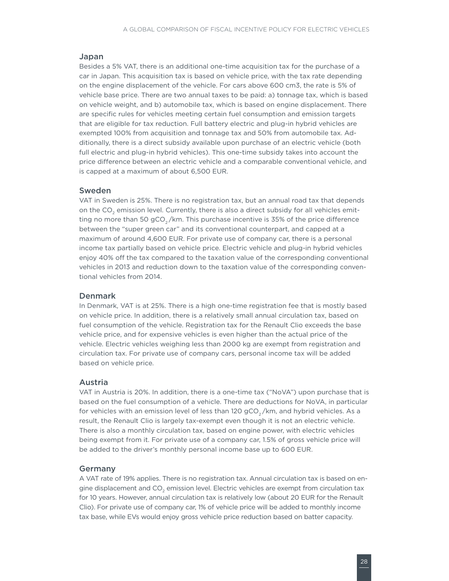#### Japan

Besides a 5% VAT, there is an additional one-time acquisition tax for the purchase of a car in Japan. This acquisition tax is based on vehicle price, with the tax rate depending on the engine displacement of the vehicle. For cars above 600 cm3, the rate is 5% of vehicle base price. There are two annual taxes to be paid: a) tonnage tax, which is based on vehicle weight, and b) automobile tax, which is based on engine displacement. There are specific rules for vehicles meeting certain fuel consumption and emission targets that are eligible for tax reduction. Full battery electric and plug-in hybrid vehicles are exempted 100% from acquisition and tonnage tax and 50% from automobile tax. Additionally, there is a direct subsidy available upon purchase of an electric vehicle (both full electric and plug-in hybrid vehicles). This one-time subsidy takes into account the price difference between an electric vehicle and a comparable conventional vehicle, and is capped at a maximum of about 6,500 EUR.

#### Sweden

VAT in Sweden is 25%. There is no registration tax, but an annual road tax that depends on the CO<sub>2</sub> emission level. Currently, there is also a direct subsidy for all vehicles emitting no more than 50  $gCO$ <sub>2</sub>/km. This purchase incentive is 35% of the price difference between the "super green car" and its conventional counterpart, and capped at a maximum of around 4,600 EUR. For private use of company car, there is a personal income tax partially based on vehicle price. Electric vehicle and plug-in hybrid vehicles enjoy 40% off the tax compared to the taxation value of the corresponding conventional vehicles in 2013 and reduction down to the taxation value of the corresponding conventional vehicles from 2014.

#### Denmark

In Denmark, VAT is at 25%. There is a high one-time registration fee that is mostly based on vehicle price. In addition, there is a relatively small annual circulation tax, based on fuel consumption of the vehicle. Registration tax for the Renault Clio exceeds the base vehicle price, and for expensive vehicles is even higher than the actual price of the vehicle. Electric vehicles weighing less than 2000 kg are exempt from registration and circulation tax. For private use of company cars, personal income tax will be added based on vehicle price.

#### Austria

VAT in Austria is 20%. In addition, there is a one-time tax ("NoVA") upon purchase that is based on the fuel consumption of a vehicle. There are deductions for NoVA, in particular for vehicles with an emission level of less than 120  $gCO<sub>2</sub>/km$ , and hybrid vehicles. As a result, the Renault Clio is largely tax-exempt even though it is not an electric vehicle. There is also a monthly circulation tax, based on engine power, with electric vehicles being exempt from it. For private use of a company car, 1.5% of gross vehicle price will be added to the driver's monthly personal income base up to 600 EUR.

#### Germany

A VAT rate of 19% applies. There is no registration tax. Annual circulation tax is based on engine displacement and CO<sub>2</sub> emission level. Electric vehicles are exempt from circulation tax for 10 years. However, annual circulation tax is relatively low (about 20 EUR for the Renault Clio). For private use of company car, 1% of vehicle price will be added to monthly income tax base, while EVs would enjoy gross vehicle price reduction based on batter capacity.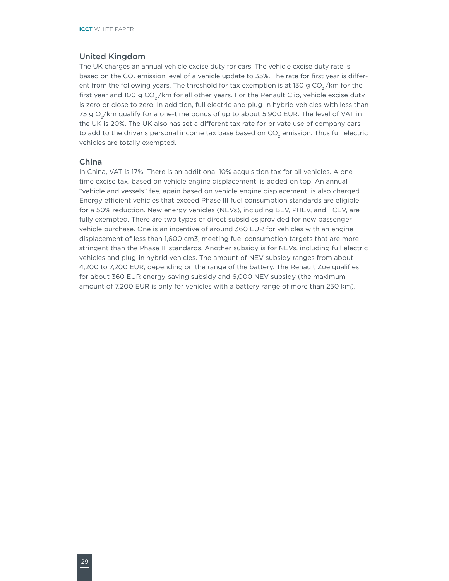#### United Kingdom

The UK charges an annual vehicle excise duty for cars. The vehicle excise duty rate is based on the CO<sub>2</sub> emission level of a vehicle update to 35%. The rate for first year is different from the following years. The threshold for tax exemption is at 130 g  $CO<sub>2</sub>/km$  for the first year and 100 g  $CO_2/km$  for all other years. For the Renault Clio, vehicle excise duty is zero or close to zero. In addition, full electric and plug-in hybrid vehicles with less than 75 g  $O<sub>2</sub>/km$  qualify for a one-time bonus of up to about 5,900 EUR. The level of VAT in the UK is 20%. The UK also has set a different tax rate for private use of company cars to add to the driver's personal income tax base based on CO<sub>2</sub> emission. Thus full electric vehicles are totally exempted.

### China

In China, VAT is 17%. There is an additional 10% acquisition tax for all vehicles. A onetime excise tax, based on vehicle engine displacement, is added on top. An annual "vehicle and vessels" fee, again based on vehicle engine displacement, is also charged. Energy efficient vehicles that exceed Phase III fuel consumption standards are eligible for a 50% reduction. New energy vehicles (NEVs), including BEV, PHEV, and FCEV, are fully exempted. There are two types of direct subsidies provided for new passenger vehicle purchase. One is an incentive of around 360 EUR for vehicles with an engine displacement of less than 1,600 cm3, meeting fuel consumption targets that are more stringent than the Phase III standards. Another subsidy is for NEVs, including full electric vehicles and plug-in hybrid vehicles. The amount of NEV subsidy ranges from about 4,200 to 7,200 EUR, depending on the range of the battery. The Renault Zoe qualifies for about 360 EUR energy-saving subsidy and 6,000 NEV subsidy (the maximum amount of 7,200 EUR is only for vehicles with a battery range of more than 250 km).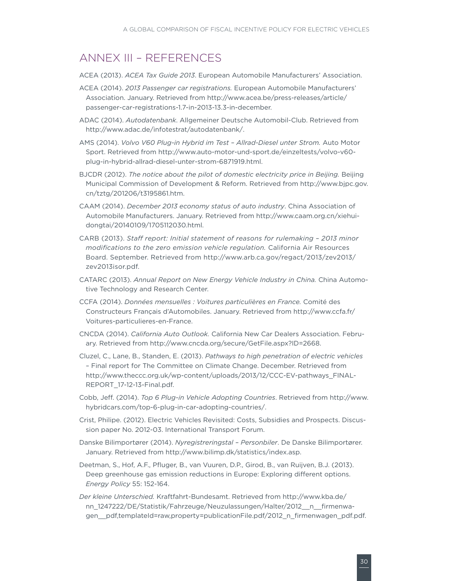### <span id="page-34-0"></span>ANNEX III – REFERENCES

ACEA (2013). *ACEA Tax Guide 2013*. European Automobile Manufacturers' Association.

- ACEA (2014). *2013 Passenger car registrations.* European Automobile Manufacturers' Association. January. Retrieved from http://www.acea.be/press-releases/article/ passenger-car-registrations-1.7-in-2013-13.3-in-december.
- ADAC (2014). *Autodatenbank*. Allgemeiner Deutsche Automobil-Club. Retrieved from http://www.adac.de/infotestrat/autodatenbank/.
- AMS (2014). *Volvo V60 Plug-in Hybrid im Test Allrad-Diesel unter Strom.* Auto Motor Sport. Retrieved from http://www.auto-motor-und-sport.de/einzeltests/volvo-v60 plug-in-hybrid-allrad-diesel-unter-strom-6871919.html.
- BJCDR (2012). *The notice about the pilot of domestic electricity price in Beijing.* Beijing Municipal Commission of Development & Reform. Retrieved from http://www.bjpc.gov. cn/tztg/201206/t3195861.htm.
- CAAM (2014). *December 2013 economy status of auto industry*. China Association of Automobile Manufacturers. January. Retrieved from http://www.caam.org.cn/xiehuidongtai/20140109/1705112030.html.
- CARB (2013). *Staff report: Initial statement of reasons for rulemaking 2013 minor modifications to the zero emission vehicle regulation.* California Air Resources Board. September. Retrieved from http://www.arb.ca.gov/regact/2013/zev2013/ zev2013isor.pdf.
- CATARC (2013). *Annual Report on New Energy Vehicle Industry in China.* China Automotive Technology and Research Center.
- CCFA (2014). *Données mensuelles : Voitures particulières en France.* Comité des Constructeurs Français d'Automobiles. January. Retrieved from http://www.ccfa.fr/ Voitures-particulieres-en-France.
- CNCDA (2014). *California Auto Outlook.* California New Car Dealers Association. February. Retrieved from http://www.cncda.org/secure/GetFile.aspx?ID=2668.
- Cluzel, C., Lane, B., Standen, E. (2013). *Pathways to high penetration of electric vehicles* – Final report for The Committee on Climate Change. December. Retrieved from http://www.theccc.org.uk/wp-content/uploads/2013/12/CCC-EV-pathways\_FINAL-REPORT\_17-12-13-Final.pdf.
- Cobb, Jeff. (2014). *Top 6 Plug-in Vehicle Adopting Countries*. Retrieved from http://www. hybridcars.com/top-6-plug-in-car-adopting-countries/.
- Crist, Philipe. (2012). Electric Vehicles Revisited: Costs, Subsidies and Prospects. Discussion paper No. 2012-03. International Transport Forum.
- Danske Bilimportører (2014). *Nyregistreringstal Personbiler*. De Danske Bilimportører. January. Retrieved from http://www.bilimp.dk/statistics/index.asp.
- Deetman, S., Hof, A.F., Pfluger, B., van Vuuren, D.P., Girod, B., van Ruijven, B.J. (2013). Deep greenhouse gas emission reductions in Europe: Exploring different options. *Energy Policy* 55: 152-164.
- *Der kleine Unterschied.* Kraftfahrt-Bundesamt. Retrieved from http://www.kba.de/ nn\_1247222/DE/Statistik/Fahrzeuge/Neuzulassungen/Halter/2012\_\_n\_\_firmenwagen\_\_pdf,templateId=raw,property=publicationFile.pdf/2012\_n\_firmenwagen\_pdf.pdf.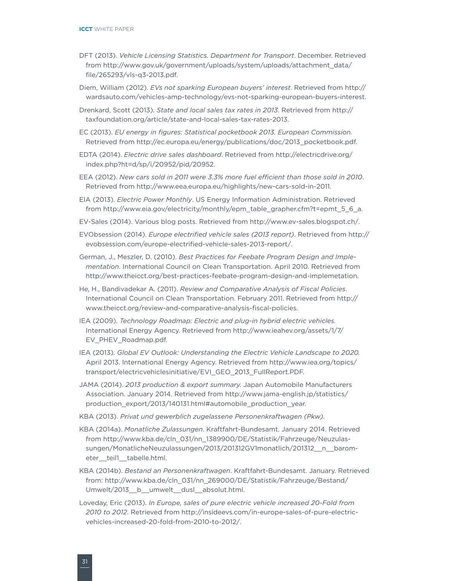- DFT (2013). *Vehicle Licensing Statistics. Department for Transport*. December. Retrieved from http://www.gov.uk/government/uploads/system/uploads/attachment\_data/ file/265293/vls-q3-2013.pdf.
- Diem, William (2012). *EVs not sparking European buyers' interest*. Retrieved from http:// wardsauto.com/vehicles-amp-technology/evs-not-sparking-european-buyers-interest.
- Drenkard, Scott (2013). *State and local sales tax rates in 2013*. Retrieved from http:// taxfoundation.org/article/state-and-local-sales-tax-rates-2013.
- EC (2013). *EU energy in figures: Statistical pocketbook 2013. European Commission.*  Retrieved from http://ec.europa.eu/energy/publications/doc/2013\_pocketbook.pdf.
- EDTA (2014). *Electric drive sales dashboard*. Retrieved from http://electricdrive.org/ index.php?ht=d/sp/i/20952/pid/20952.
- EEA (2012). *New cars sold in 2011 were 3.3% more fuel efficient than those sold in 2010*. Retrieved from http://www.eea.europa.eu/highlights/new-cars-sold-in-2011.
- EIA (2013). *Electric Power Monthly*. US Energy Information Administration. Retrieved from http://www.eia.gov/electricity/monthly/epm\_table\_grapher.cfm?t=epmt\_5\_6\_a.
- EV-Sales (2014). Various blog posts. Retrieved from http://www.ev-sales.blogspot.ch/.
- EVObsession (2014). *Europe electrified vehicle sales (2013 report)*. Retrieved from http:// evobsession.com/europe-electrified-vehicle-sales-2013-report/.
- German, J., Meszler, D. (2010). *Best Practices for Feebate Program Design and Implementation*. International Council on Clean Transportation. April 2010. Retrieved from http://www.theicct.org/best-practices-feebate-program-design-and-implemetation.
- He, H., Bandivadekar A. (2011). *Review and Comparative Analysis of Fiscal Policies*. International Council on Clean Transportation. February 2011. Retrieved from http:// www.theicct.org/review-and-comparative-analysis-fiscal-policies.
- IEA (2009). *Technology Roadmap: Electric and plug-in hybrid electric vehicles.* International Energy Agency. Retrieved from http://www.ieahev.org/assets/1/7/ EV\_PHEV\_Roadmap.pdf.
- IEA (2013). *Global EV Outlook: Understanding the Electric Vehicle Landscape to 2020.* April 2013. International Energy Agency. Retrieved from http://www.iea.org/topics/ transport/electricvehiclesinitiative/EVI\_GEO\_2013\_FullReport.PDF.
- JAMA (2014). *2013 production & export summary.* Japan Automobile Manufacturers Association. January 2014. Retrieved from http://www.jama-english.jp/statistics/ production\_export/2013/140131.html#automobile\_production\_year.
- KBA (2013). *Privat und gewerblich zugelassene Personenkraftwagen (Pkw).*
- KBA (2014a). *Monatliche Zulassungen*. Kraftfahrt-Bundesamt. January 2014. Retrieved from http://www.kba.de/cln\_031/nn\_1389900/DE/Statistik/Fahrzeuge/Neuzulassungen/MonatlicheNeuzulassungen/2013/201312GV1monatlich/201312\_\_n\_\_barometer\_\_teil1\_\_tabelle.html.
- KBA (2014b). *Bestand an Personenkraftwagen*. Kraftfahrt-Bundesamt. January. Retrieved from: http://www.kba.de/cln\_031/nn\_269000/DE/Statistik/Fahrzeuge/Bestand/ Umwelt/2013\_\_b\_\_umwelt\_\_dusl\_\_absolut.html.
- Loveday, Eric (2013). *In Europe, sales of pure electric vehicle increased 20-Fold from 2010 to 2012*. Retrieved from http://insideevs.com/in-europe-sales-of-pure-electricvehicles-increased-20-fold-from-2010-to-2012/.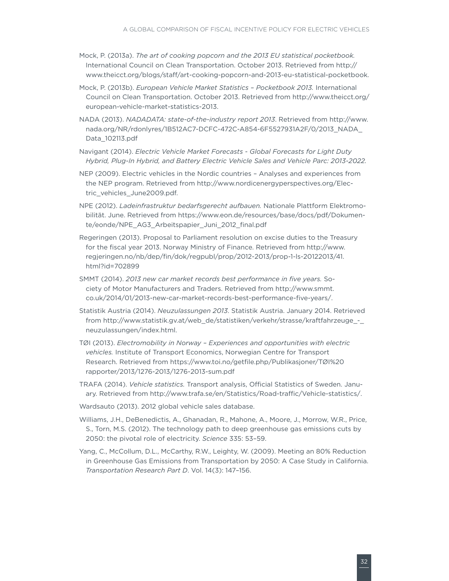- Mock, P. (2013a). *The art of cooking popcorn and the 2013 EU statistical pocketbook.* International Council on Clean Transportation. October 2013. Retrieved from http:// www.theicct.org/blogs/staff/art-cooking-popcorn-and-2013-eu-statistical-pocketbook.
- Mock, P. (2013b). *European Vehicle Market Statistics Pocketbook 2013.* International Council on Clean Transportation. October 2013. Retrieved from http://www.theicct.org/ european-vehicle-market-statistics-2013.
- NADA (2013). *NADADATA: state-of-the-industry report 2013*. Retrieved from http://www. nada.org/NR/rdonlyres/1B512AC7-DCFC-472C-A854-6F5527931A2F/0/2013\_NADA\_ Data\_102113.pdf
- Navigant (2014). *Electric Vehicle Market Forecasts Global Forecasts for Light Duty Hybrid, Plug-In Hybrid, and Battery Electric Vehicle Sales and Vehicle Parc: 2013-2022.*
- NEP (2009). Electric vehicles in the Nordic countries Analyses and experiences from the NEP program. Retrieved from http://www.nordicenergyperspectives.org/Electric\_vehicles\_June2009.pdf.
- NPE (2012). *Ladeinfrastruktur bedarfsgerecht aufbauen.* Nationale Plattform Elektromobilität. June. Retrieved from https://www.eon.de/resources/base/docs/pdf/Dokumente/eonde/NPE\_AG3\_Arbeitspapier\_Juni\_2012\_final.pdf
- Regeringen (2013). Proposal to Parliament resolution on excise duties to the Treasury for the fiscal year 2013. Norway Ministry of Finance. Retrieved from http://www. regjeringen.no/nb/dep/fin/dok/regpubl/prop/2012-2013/prop-1-ls-20122013/41. html?id=702899
- SMMT (2014). *2013 new car market records best performance in five years.* Society of Motor Manufacturers and Traders. Retrieved from http://www.smmt. co.uk/2014/01/2013-new-car-market-records-best-performance-five-years/.
- Statistik Austria (2014). *Neuzulassungen 2013*. Statistik Austria. January 2014. Retrieved from http://www.statistik.gv.at/web\_de/statistiken/verkehr/strasse/kraftfahrzeuge\_neuzulassungen/index.html.
- TØI (2013). *Electromobility in Norway Experiences and opportunities with electric vehicles.* Institute of Transport Economics, Norwegian Centre for Transport Research. Retrieved from https://www.toi.no/getfile.php/Publikasjoner/TØI%20 rapporter/2013/1276-2013/1276-2013-sum.pdf
- TRAFA (2014). *Vehicle statistics.* Transport analysis, Official Statistics of Sweden. January. Retrieved from http://www.trafa.se/en/Statistics/Road-traffic/Vehicle-statistics/.
- Wardsauto (2013). 2012 global vehicle sales database.
- Williams, J.H., DeBenedictis, A., Ghanadan, R., Mahone, A., Moore, J., Morrow, W.R., Price, S., Torn, M.S. (2012). The technology path to deep greenhouse gas emissions cuts by 2050: the pivotal role of electricity. *Science* 335: 53–59.
- Yang, C., McCollum, D.L., McCarthy, R.W., Leighty, W. (2009). Meeting an 80% Reduction in Greenhouse Gas Emissions from Transportation by 2050: A Case Study in California. *Transportation Research Part D*. Vol. 14(3): 147–156.